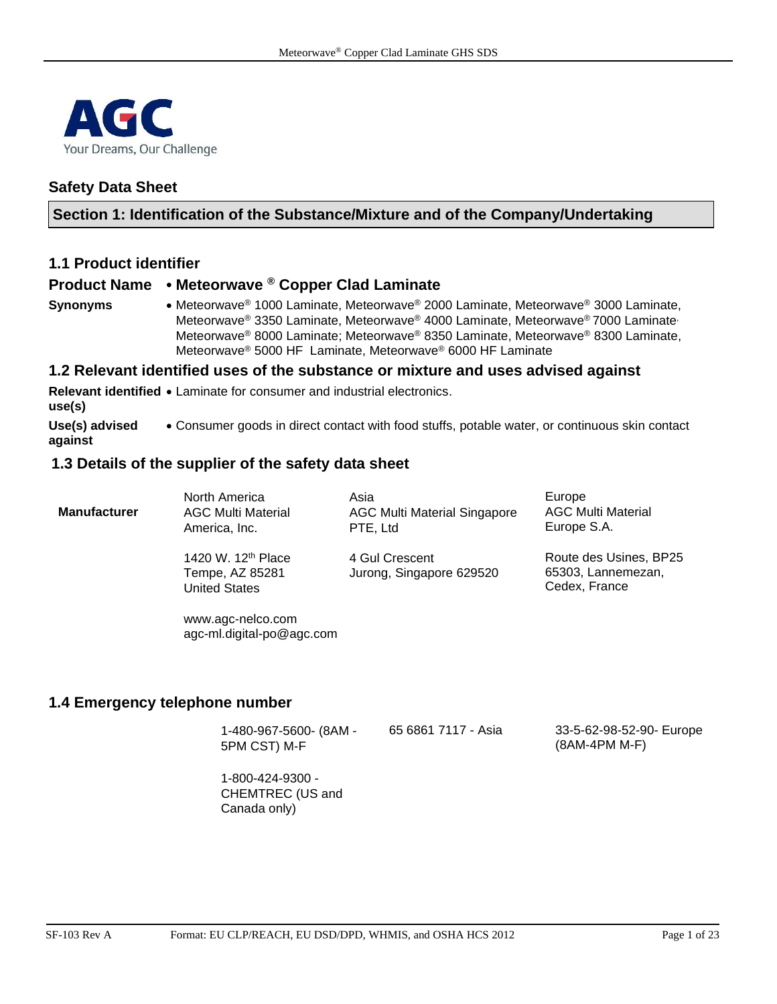

## **Safety Data Sheet**

## **Section 1: Identification of the Substance/Mixture and of the Company/Undertaking**

## **1.1 Product identifier**

## **Product Name** • **Meteorwave ® Copper Clad Laminate**

**Synonyms** • Meteorwave® 1000 Laminate, Meteorwave® 2000 Laminate, Meteorwave® 3000 Laminate, Meteorwave® 3350 Laminate, Meteorwave® 4000 Laminate, Meteorwave® 7000 Laminate, Meteorwave® 8000 Laminate; Meteorwave® 8350 Laminate, Meteorwave® 8300 Laminate, Meteorwave® 5000 HF Laminate, Meteorwave® 6000 HF Laminate

#### **1.2 Relevant identified uses of the substance or mixture and uses advised against**

**Relevant identified**  • Laminate for consumer and industrial electronics. **use(s) Use(s) advised against** • Consumer goods in direct contact with food stuffs, potable water, or continuous skin contact

### **1.3 Details of the supplier of the safety data sheet**

| <b>Manufacturer</b> | North America                                                             | Asia                                       | Europe                                                        |
|---------------------|---------------------------------------------------------------------------|--------------------------------------------|---------------------------------------------------------------|
|                     | <b>AGC Multi Material</b>                                                 | <b>AGC Multi Material Singapore</b>        | <b>AGC Multi Material</b>                                     |
|                     | America, Inc.                                                             | PTE, Ltd                                   | Europe S.A.                                                   |
|                     | 1420 W. 12 <sup>th</sup> Place<br>Tempe, AZ 85281<br><b>United States</b> | 4 Gul Crescent<br>Jurong, Singapore 629520 | Route des Usines, BP25<br>65303, Lannemezan,<br>Cedex, France |

www.agc-nelco.com [agc-ml.digital-po@agc.com](mailto:agc-ml.digital-po@agc.com)

## **1.4 Emergency telephone number**

| 1-480-967-5600- (8AM - | 65 6861 7117 - Asia | 33-5-62-98-52-90- Europe |
|------------------------|---------------------|--------------------------|
| 5PM CST) M-F           |                     | (8AM-4PM M-F)            |

1-800-424-9300 - CHEMTREC (US and Canada only)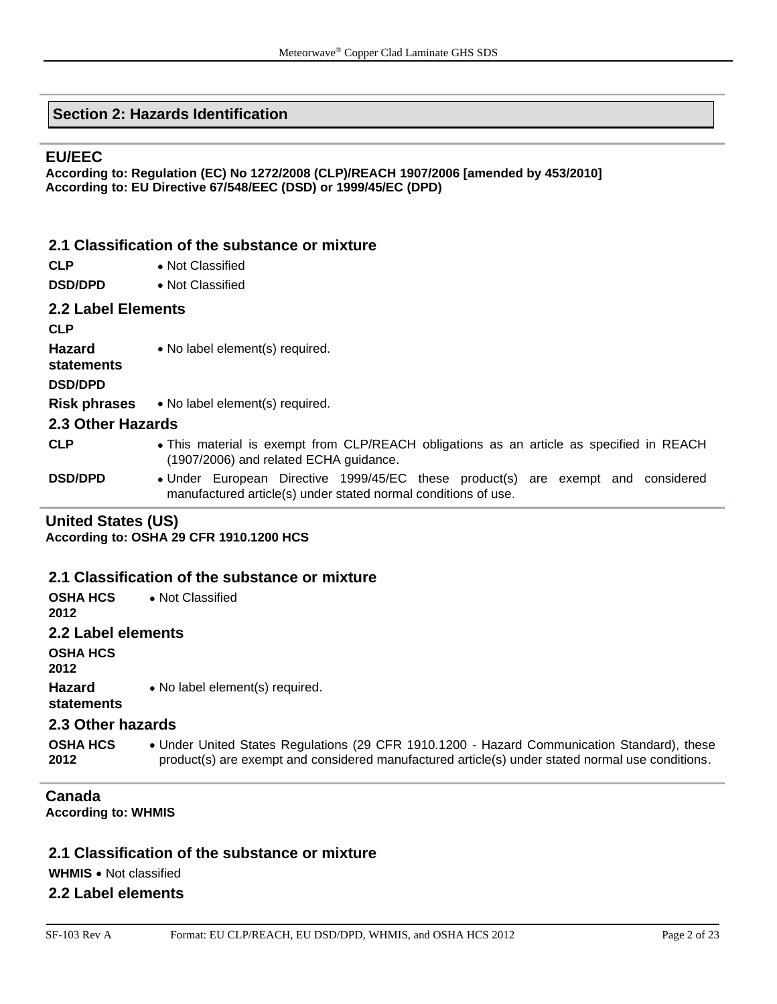## **Section 2: Hazards Identification**

## **EU/EEC**

**According to: Regulation (EC) No 1272/2008 (CLP)/REACH 1907/2006 [amended by 453/2010] According to: EU Directive 67/548/EEC (DSD) or 1999/45/EC (DPD)** 

## **2.1 Classification of the substance or mixture**

- **CLP** Not Classified
- **DSD/DPD** Not Classified

### **2.2 Label Elements**

**CLP**

**Hazard**  • No label element(s) required.

**statements**

**DSD/DPD**

**Risk phrases** • No label element(s) required.

### **2.3 Other Hazards**

- **CLP** This material is exempt from CLP/REACH obligations as an article as specified in REACH (1907/2006) and related ECHA guidance.
- **DSD/DPD** Under European Directive 1999/45/EC these product(s) are exempt and considered manufactured article(s) under stated normal conditions of use.

### **United States (US)**

**According to: OSHA 29 CFR 1910.1200 HCS**

### **2.1 Classification of the substance or mixture**

| <b>OSHA HCS</b><br>2012 | • Not Classified                                                                                                                                                                                |
|-------------------------|-------------------------------------------------------------------------------------------------------------------------------------------------------------------------------------------------|
| 2.2 Label elements      |                                                                                                                                                                                                 |
| OSHA HCS<br>2012        |                                                                                                                                                                                                 |
| Hazard<br>statements    | • No label element(s) required.                                                                                                                                                                 |
| 2.3 Other hazards       |                                                                                                                                                                                                 |
| <b>OSHA HCS</b><br>2012 | • Under United States Regulations (29 CFR 1910.1200 - Hazard Communication Standard), these<br>product(s) are exempt and considered manufactured article(s) under stated normal use conditions. |

## **Canada**

**According to: WHMIS** 

### **2.1 Classification of the substance or mixture**

**WHMIS** • Not classified

### **2.2 Label elements**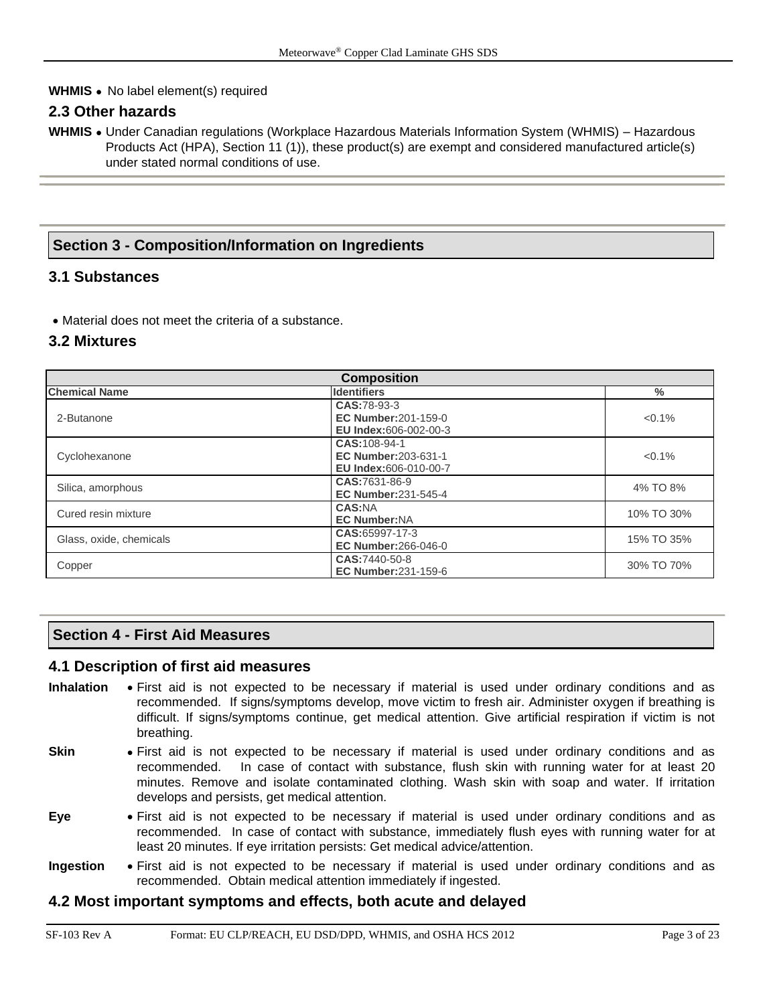### **WHMIS** • No label element(s) required

## **2.3 Other hazards**

**WHMIS** • Under Canadian regulations (Workplace Hazardous Materials Information System (WHMIS) – Hazardous Products Act (HPA), Section 11 (1)), these product(s) are exempt and considered manufactured article(s) under stated normal conditions of use.

## **Section 3 - Composition/Information on Ingredients**

## **3.1 Substances**

• Material does not meet the criteria of a substance.

## **3.2 Mixtures**

| <b>Composition</b>      |                                                                            |               |  |  |  |
|-------------------------|----------------------------------------------------------------------------|---------------|--|--|--|
| <b>Chemical Name</b>    | <b>Identifiers</b>                                                         | $\frac{0}{0}$ |  |  |  |
| 2-Butanone              | CAS:78-93-3<br><b>EC Number: 201-159-0</b><br><b>EU Index:606-002-00-3</b> | $< 0.1\%$     |  |  |  |
| Cyclohexanone           | CAS: 108-94-1<br>EC Number: 203-631-1<br><b>EU Index:</b> 606-010-00-7     | $< 0.1\%$     |  |  |  |
| Silica, amorphous       | CAS:7631-86-9<br><b>EC Number:231-545-4</b>                                | 4% TO 8%      |  |  |  |
| Cured resin mixture     | CAS:NA<br><b>EC Number:NA</b>                                              | 10% TO 30%    |  |  |  |
| Glass, oxide, chemicals | CAS:65997-17-3<br><b>EC Number:266-046-0</b>                               | 15% TO 35%    |  |  |  |
| Copper                  | CAS:7440-50-8<br><b>EC Number:231-159-6</b>                                | 30% TO 70%    |  |  |  |

## **Section 4 - First Aid Measures**

### **4.1 Description of first aid measures**

- **Inhalation** First aid is not expected to be necessary if material is used under ordinary conditions and as recommended. If signs/symptoms develop, move victim to fresh air. Administer oxygen if breathing is difficult. If signs/symptoms continue, get medical attention. Give artificial respiration if victim is not breathing.
- **Skin** First aid is not expected to be necessary if material is used under ordinary conditions and as recommended. In case of contact with substance, flush skin with running water for at least 20 minutes. Remove and isolate contaminated clothing. Wash skin with soap and water. If irritation develops and persists, get medical attention.
- **Eye** First aid is not expected to be necessary if material is used under ordinary conditions and as recommended. In case of contact with substance, immediately flush eyes with running water for at least 20 minutes. If eye irritation persists: Get medical advice/attention.
- **Ingestion** First aid is not expected to be necessary if material is used under ordinary conditions and as recommended. Obtain medical attention immediately if ingested.

### **4.2 Most important symptoms and effects, both acute and delayed**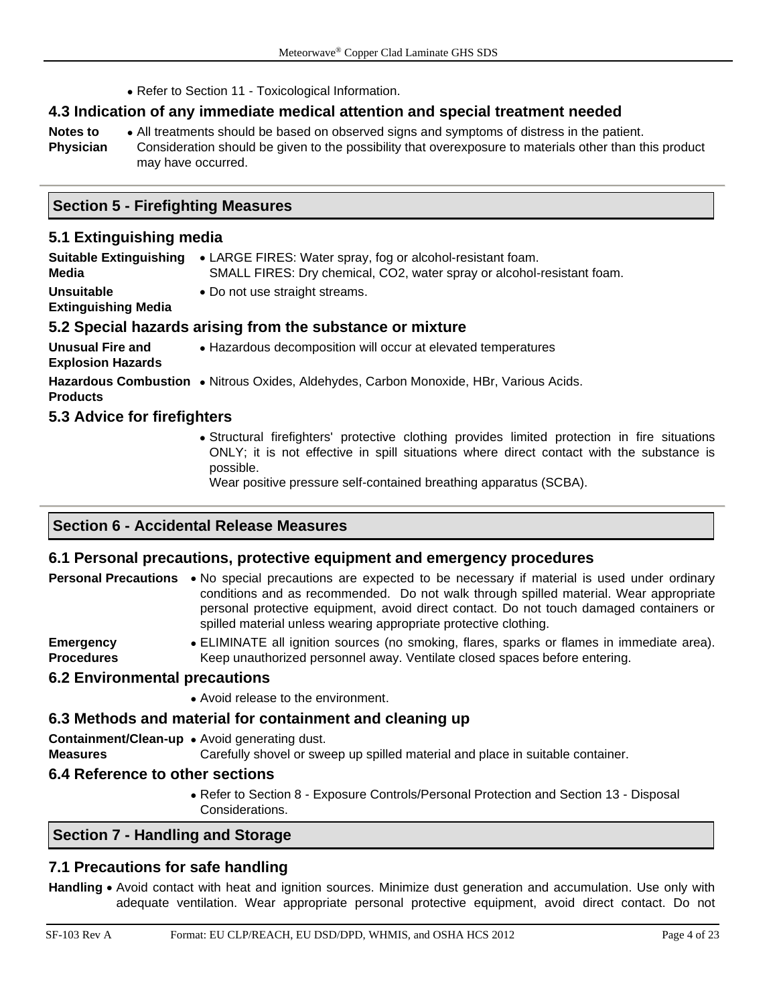• Refer to Section 11 - Toxicological Information.

## **4.3 Indication of any immediate medical attention and special treatment needed**

- **Notes to**  • All treatments should be based on observed signs and symptoms of distress in the patient.
- **Physician** Consideration should be given to the possibility that overexposure to materials other than this product may have occurred.

### **5.1 Extinguishing media**

| <b>Suitable Extinguishing</b><br>Media              | • LARGE FIRES: Water spray, fog or alcohol-resistant foam.<br>SMALL FIRES: Dry chemical, CO2, water spray or alcohol-resistant foam. |  |  |  |  |  |  |
|-----------------------------------------------------|--------------------------------------------------------------------------------------------------------------------------------------|--|--|--|--|--|--|
| <b>Unsuitable</b><br><b>Extinguishing Media</b>     | • Do not use straight streams.                                                                                                       |  |  |  |  |  |  |
|                                                     | 5.2 Special hazards arising from the substance or mixture                                                                            |  |  |  |  |  |  |
| <b>Unusual Fire and</b><br><b>Explosion Hazards</b> | • Hazardous decomposition will occur at elevated temperatures                                                                        |  |  |  |  |  |  |
| <b>Products</b>                                     | Hazardous Combustion • Nitrous Oxides, Aldehydes, Carbon Monoxide, HBr, Various Acids.                                               |  |  |  |  |  |  |
| 5.3 Advice for firefighters                         |                                                                                                                                      |  |  |  |  |  |  |
|                                                     | • Structural firefighters' protective clothing provides limited protection in                                                        |  |  |  |  |  |  |

fire situations ONLY; it is not effective in spill situations where direct contact with the substance is possible.

Wear positive pressure self-contained breathing apparatus (SCBA).

## **Section 6 - Accidental Release Measures**

## **6.1 Personal precautions, protective equipment and emergency procedures**

| <b>Personal Precautions</b> • No special precautions are expected to be necessary if material is used under ordinary |  |  |
|----------------------------------------------------------------------------------------------------------------------|--|--|
| conditions and as recommended. Do not walk through spilled material. Wear appropriate                                |  |  |
| personal protective equipment, avoid direct contact. Do not touch damaged containers or                              |  |  |
| spilled material unless wearing appropriate protective clothing.                                                     |  |  |
|                                                                                                                      |  |  |

**Emergency Procedures** • ELIMINATE all ignition sources (no smoking, flares, sparks or flames in immediate area). Keep unauthorized personnel away. Ventilate closed spaces before entering.

### **6.2 Environmental precautions**

• Avoid release to the environment.

## **6.3 Methods and material for containment and cleaning up**

**Containment/Clean-up**  • Avoid generating dust.

**Measures** Carefully shovel or sweep up spilled material and place in suitable container.

## **6.4 Reference to other sections**

• Refer to Section 8 - Exposure Controls/Personal Protection and Section 13 - Disposal Considerations.

## **Section 7 - Handling and Storage**

## **7.1 Precautions for safe handling**

**Handling** • Avoid contact with heat and ignition sources. Minimize dust generation and accumulation. Use only with adequate ventilation. Wear appropriate personal protective equipment, avoid direct contact. Do not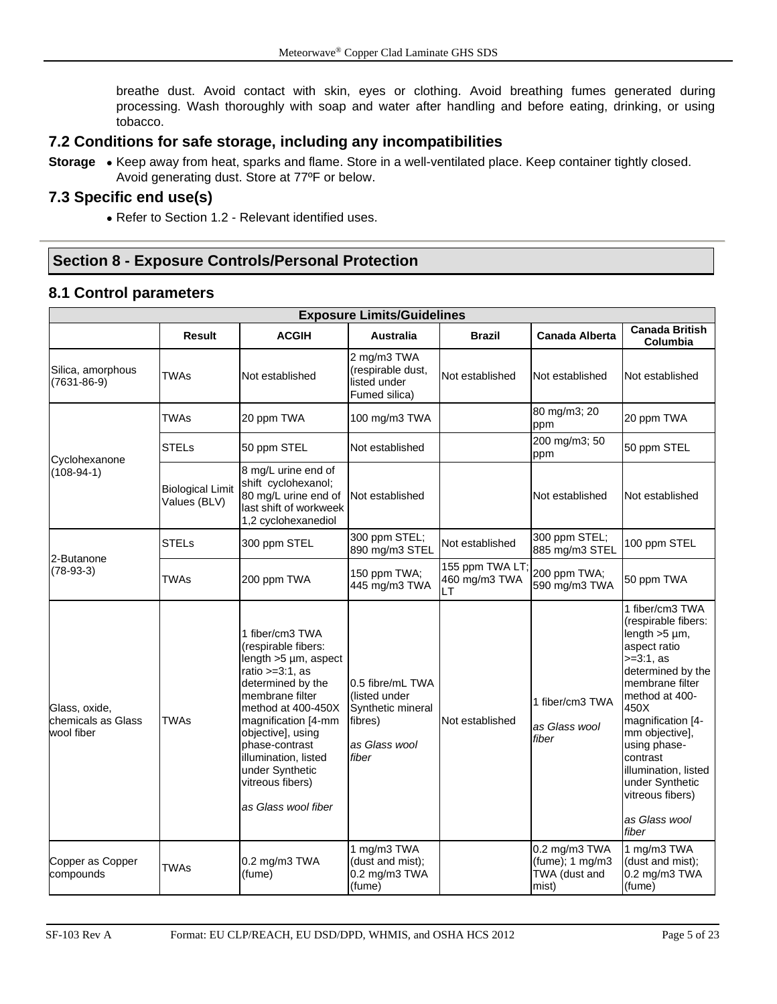breathe dust. Avoid contact with skin, eyes or clothing. Avoid breathing fumes generated during processing. Wash thoroughly with soap and water after handling and before eating, drinking, or using tobacco.

## **7.2 Conditions for safe storage, including any incompatibilities**

**Storage** • Keep away from heat, sparks and flame. Store in a well-ventilated place. Keep container tightly closed. Avoid generating dust. Store at 77ºF or below.

## **7.3 Specific end use(s)**

• Refer to Section 1.2 - Relevant identified uses.

## **Section 8 - Exposure Controls/Personal Protection**

## **8.1 Control parameters**

|                                                   | <b>Exposure Limits/Guidelines</b>       |                                                                                                                                                                                                                                                                                                              |                                                                                             |                                        |                                                               |                                                                                                                                                                                                                                                                                                                             |  |  |  |  |
|---------------------------------------------------|-----------------------------------------|--------------------------------------------------------------------------------------------------------------------------------------------------------------------------------------------------------------------------------------------------------------------------------------------------------------|---------------------------------------------------------------------------------------------|----------------------------------------|---------------------------------------------------------------|-----------------------------------------------------------------------------------------------------------------------------------------------------------------------------------------------------------------------------------------------------------------------------------------------------------------------------|--|--|--|--|
|                                                   | <b>Result</b>                           | <b>ACGIH</b>                                                                                                                                                                                                                                                                                                 | <b>Australia</b>                                                                            | <b>Brazil</b>                          | <b>Canada Alberta</b>                                         | <b>Canada British</b><br>Columbia                                                                                                                                                                                                                                                                                           |  |  |  |  |
| Silica, amorphous<br>$(7631 - 86 - 9)$            | TWAs                                    | Not established                                                                                                                                                                                                                                                                                              | 2 mg/m3 TWA<br>(respirable dust,<br>listed under<br>Fumed silica)                           | Not established                        | Not established                                               | Not established                                                                                                                                                                                                                                                                                                             |  |  |  |  |
| Cyclohexanone<br>$(108-94-1)$                     | TWAs                                    | 20 ppm TWA                                                                                                                                                                                                                                                                                                   | 100 mg/m3 TWA                                                                               |                                        | 80 mg/m3; 20<br>ppm                                           | 20 ppm TWA                                                                                                                                                                                                                                                                                                                  |  |  |  |  |
|                                                   | STELs                                   | 50 ppm STEL                                                                                                                                                                                                                                                                                                  | Not established                                                                             |                                        | 200 mg/m3; 50<br>ppm                                          | 50 ppm STEL                                                                                                                                                                                                                                                                                                                 |  |  |  |  |
|                                                   | <b>Biological Limit</b><br>Values (BLV) | 8 mg/L urine end of<br>shift cyclohexanol;<br>80 mg/L urine end of<br>last shift of workweek<br>1,2 cyclohexanediol                                                                                                                                                                                          | Not established                                                                             |                                        | Not established                                               | Not established                                                                                                                                                                                                                                                                                                             |  |  |  |  |
|                                                   | <b>STELs</b>                            | 300 ppm STEL                                                                                                                                                                                                                                                                                                 | 300 ppm STEL;<br>890 mg/m3 STEL                                                             | Not established                        | 300 ppm STEL;<br>885 mg/m3 STEL                               | 100 ppm STEL                                                                                                                                                                                                                                                                                                                |  |  |  |  |
| 2-Butanone<br>$(78-93-3)$                         | TWAs                                    | 200 ppm TWA                                                                                                                                                                                                                                                                                                  | 150 ppm TWA;<br>445 mg/m3 TWA                                                               | 155 ppm TWA LT;<br>460 mg/m3 TWA<br>LТ | 200 ppm TWA;<br>590 mg/m3 TWA                                 | 50 ppm TWA                                                                                                                                                                                                                                                                                                                  |  |  |  |  |
| Glass, oxide,<br>chemicals as Glass<br>wool fiber | <b>TWAs</b>                             | 1 fiber/cm3 TWA<br>(respirable fibers:<br>length $>5 \mu m$ , aspect<br>ratio $>=3:1$ , as<br>determined by the<br>membrane filter<br>method at 400-450X<br>magnification [4-mm<br>objective], using<br>phase-contrast<br>illumination, listed<br>under Synthetic<br>vitreous fibers)<br>as Glass wool fiber | 0.5 fibre/mL TWA<br>(listed under<br>Synthetic mineral<br>fibres)<br>as Glass wool<br>fiber | Not established                        | 1 fiber/cm3 TWA<br>as Glass wool<br>fiber                     | 1 fiber/cm3 TWA<br>(respirable fibers:<br>$length > 5 \mu m$ ,<br>aspect ratio<br>$>=3:1, as$<br>determined by the<br>membrane filter<br>method at 400-<br>450X<br>magnification [4-<br>mm objective],<br>using phase-<br>contrast<br>illumination, listed<br>under Synthetic<br>vitreous fibers)<br>as Glass wool<br>fiber |  |  |  |  |
| Copper as Copper<br>compounds                     | TWAs                                    | 0.2 mg/m3 TWA<br>(fume)                                                                                                                                                                                                                                                                                      | 1 mg/m3 TWA<br>(dust and mist);<br>0.2 mg/m3 TWA<br>(fume)                                  |                                        | 0.2 mg/m3 TWA<br>$(fume)$ ; 1 mg/m3<br>TWA (dust and<br>mist) | 1 mg/m3 TWA<br>(dust and mist);<br>0.2 mg/m3 TWA<br>(fume)                                                                                                                                                                                                                                                                  |  |  |  |  |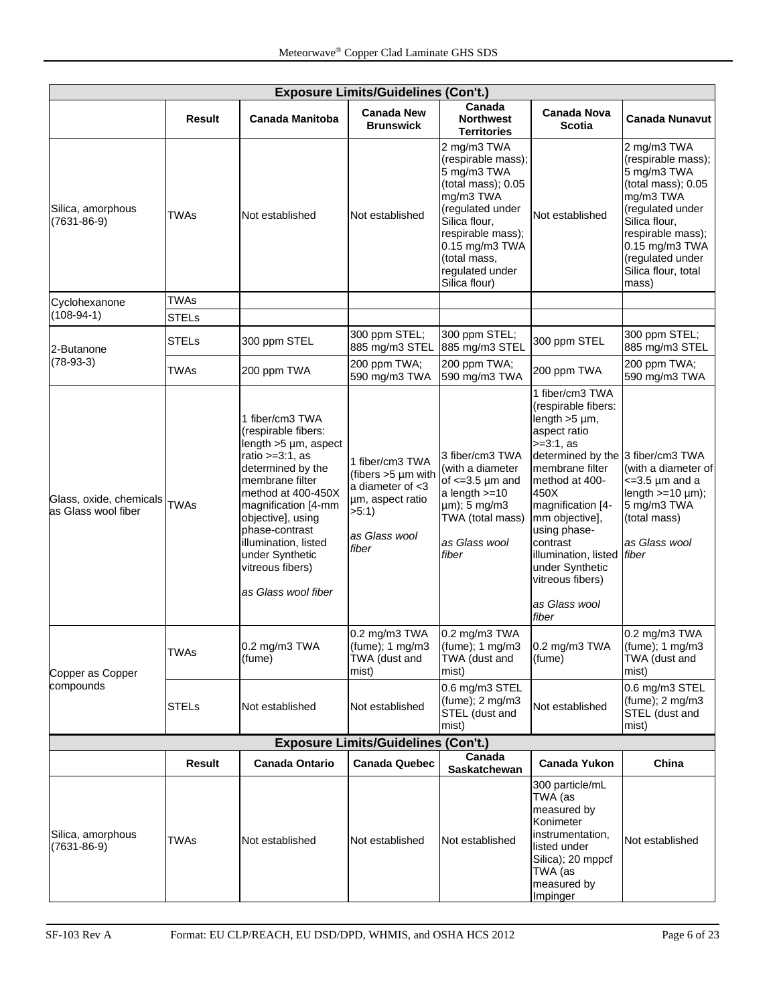| <b>Exposure Limits/Guidelines (Con't.)</b>     |               |                                                                                                                                                                                                                                                                                                               |                                                                                                                         |                                                                                                                                                                                                                     |                                                                                                                                                                                                                                                                                                                                                  |                                                                                                                                                                                                                     |  |  |
|------------------------------------------------|---------------|---------------------------------------------------------------------------------------------------------------------------------------------------------------------------------------------------------------------------------------------------------------------------------------------------------------|-------------------------------------------------------------------------------------------------------------------------|---------------------------------------------------------------------------------------------------------------------------------------------------------------------------------------------------------------------|--------------------------------------------------------------------------------------------------------------------------------------------------------------------------------------------------------------------------------------------------------------------------------------------------------------------------------------------------|---------------------------------------------------------------------------------------------------------------------------------------------------------------------------------------------------------------------|--|--|
|                                                | Result        | <b>Canada Manitoba</b>                                                                                                                                                                                                                                                                                        | <b>Canada New</b><br><b>Brunswick</b>                                                                                   | Canada<br><b>Northwest</b><br><b>Territories</b>                                                                                                                                                                    | <b>Canada Nova</b><br><b>Scotia</b>                                                                                                                                                                                                                                                                                                              | Canada Nunavut                                                                                                                                                                                                      |  |  |
| Silica, amorphous<br>$(7631 - 86 - 9)$         | <b>TWAs</b>   | Not established                                                                                                                                                                                                                                                                                               | Not established                                                                                                         | 2 mg/m3 TWA<br>(respirable mass);<br>5 mg/m3 TWA<br>(total mass); 0.05<br>mg/m3 TWA<br>(regulated under<br>Silica flour.<br>respirable mass);<br>0.15 mg/m3 TWA<br>(total mass,<br>regulated under<br>Silica flour) | Not established                                                                                                                                                                                                                                                                                                                                  | 2 mg/m3 TWA<br>(respirable mass);<br>5 mg/m3 TWA<br>(total mass); 0.05<br>mg/m3 TWA<br>(regulated under<br>Silica flour,<br>respirable mass);<br>0.15 mg/m3 TWA<br>(regulated under<br>Silica flour, total<br>mass) |  |  |
| Cyclohexanone                                  | <b>TWAs</b>   |                                                                                                                                                                                                                                                                                                               |                                                                                                                         |                                                                                                                                                                                                                     |                                                                                                                                                                                                                                                                                                                                                  |                                                                                                                                                                                                                     |  |  |
| $(108-94-1)$                                   | <b>STELs</b>  |                                                                                                                                                                                                                                                                                                               |                                                                                                                         |                                                                                                                                                                                                                     |                                                                                                                                                                                                                                                                                                                                                  |                                                                                                                                                                                                                     |  |  |
| 2-Butanone                                     | <b>STELs</b>  | 300 ppm STEL                                                                                                                                                                                                                                                                                                  | 300 ppm STEL;<br>885 mg/m3 STEL                                                                                         | 300 ppm STEL;<br>885 mg/m3 STEL                                                                                                                                                                                     | 300 ppm STEL                                                                                                                                                                                                                                                                                                                                     | 300 ppm STEL;<br>885 mg/m3 STEL                                                                                                                                                                                     |  |  |
| $(78-93-3)$                                    | <b>TWAs</b>   | 200 ppm TWA                                                                                                                                                                                                                                                                                                   | 200 ppm TWA;<br>590 mg/m3 TWA                                                                                           | 200 ppm TWA;<br>590 mg/m3 TWA                                                                                                                                                                                       | 200 ppm TWA                                                                                                                                                                                                                                                                                                                                      | 200 ppm TWA;<br>590 mg/m3 TWA                                                                                                                                                                                       |  |  |
| Glass, oxide, chemicals<br>as Glass wool fiber | <b>TWAs</b>   | 1 fiber/cm3 TWA<br>(respirable fibers:<br>$length > 5 \mu m$ , aspect<br>ratio $>=3:1$ , as<br>determined by the<br>membrane filter<br>method at 400-450X<br>magnification [4-mm<br>objective], using<br>phase-contrast<br>illumination, listed<br>under Synthetic<br>vitreous fibers)<br>as Glass wool fiber | 1 fiber/cm3 TWA<br>(fibers $>5 \mu m$ with<br>a diameter of $<$ 3<br>µm, aspect ratio<br>>5:1<br>as Glass wool<br>fiber | 3 fiber/cm3 TWA<br>(with a diameter<br>of $\leq$ =3.5 µm and<br>a length $>=10$<br>µm); 5 mg/m3<br>TWA (total mass)<br>as Glass wool<br>fiber                                                                       | 1 fiber/cm3 TWA<br>(respirable fibers:<br>length $>5 \mu m$ ,<br>aspect ratio<br>$>=3:1, as$<br>determined by the 3 fiber/cm3 TWA<br>membrane filter<br>method at 400-<br>450X<br>magnification [4-<br>mm objective],<br>using phase-<br>contrast<br>illumination, listed fiber<br>under Synthetic<br>vitreous fibers)<br>as Glass wool<br>fiber | (with a diameter of<br>$\epsilon$ =3.5 µm and a<br>length $>=10 \mu m$ ;<br>5 mg/m3 TWA<br>(total mass)<br>as Glass wool                                                                                            |  |  |
| Copper as Copper                               | <b>TWAs</b>   | 0.2 mg/m3 TWA<br>(fume)                                                                                                                                                                                                                                                                                       | 0.2 mg/m3 TWA<br>$(tume)$ ; 1 mg/m3 $(tume)$ ; 1 mg/m3<br>TWA (dust and<br>mist)                                        | $0.2$ mg/m3 TWA<br>TWA (dust and<br>mist)                                                                                                                                                                           | 0.2 mg/m3 TWA<br>(fume)                                                                                                                                                                                                                                                                                                                          | 0.2 mg/m3 TWA<br>$(fume)$ ; 1 mg/m3<br>TWA (dust and<br>mist)                                                                                                                                                       |  |  |
| compounds                                      | <b>STELs</b>  | Not established                                                                                                                                                                                                                                                                                               | Not established                                                                                                         | 0.6 mg/m3 STEL<br>$(fume)$ ; 2 mg/m3<br>STEL (dust and<br>mist)                                                                                                                                                     | Not established                                                                                                                                                                                                                                                                                                                                  | 0.6 mg/m3 STEL<br>$(fume)$ ; 2 mg/m3<br>STEL (dust and<br>mist)                                                                                                                                                     |  |  |
|                                                |               |                                                                                                                                                                                                                                                                                                               | <b>Exposure Limits/Guidelines (Con't.)</b>                                                                              |                                                                                                                                                                                                                     |                                                                                                                                                                                                                                                                                                                                                  |                                                                                                                                                                                                                     |  |  |
|                                                | <b>Result</b> | <b>Canada Ontario</b>                                                                                                                                                                                                                                                                                         | <b>Canada Quebec</b>                                                                                                    | Canada<br>Saskatchewan                                                                                                                                                                                              | <b>Canada Yukon</b>                                                                                                                                                                                                                                                                                                                              | China                                                                                                                                                                                                               |  |  |
| Silica, amorphous<br>$(7631 - 86 - 9)$         | <b>TWAs</b>   | Not established                                                                                                                                                                                                                                                                                               | Not established                                                                                                         | Not established                                                                                                                                                                                                     | 300 particle/mL<br>TWA (as<br>measured by<br>Konimeter<br>instrumentation,<br>listed under<br>Silica); 20 mppcf<br>TWA (as<br>measured by<br>Impinger                                                                                                                                                                                            | Not established                                                                                                                                                                                                     |  |  |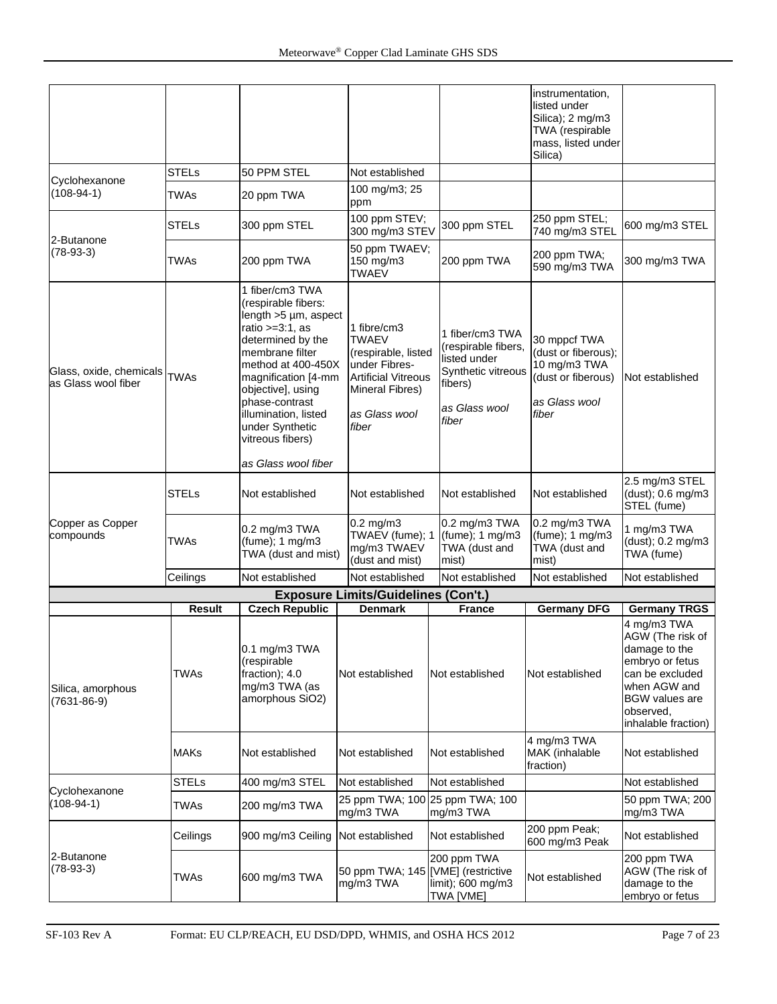|                                                |                       |                                                                                                                                                                                                                                                                                                        |                                                                                                                                                |                                                                                                                   | instrumentation,<br>listed under<br>Silica); 2 mg/m3<br>TWA (respirable<br>mass, listed under<br>Silica) |                                                                                                                                                                                            |
|------------------------------------------------|-----------------------|--------------------------------------------------------------------------------------------------------------------------------------------------------------------------------------------------------------------------------------------------------------------------------------------------------|------------------------------------------------------------------------------------------------------------------------------------------------|-------------------------------------------------------------------------------------------------------------------|----------------------------------------------------------------------------------------------------------|--------------------------------------------------------------------------------------------------------------------------------------------------------------------------------------------|
|                                                | <b>STELs</b>          | 50 PPM STEL                                                                                                                                                                                                                                                                                            | Not established                                                                                                                                |                                                                                                                   |                                                                                                          |                                                                                                                                                                                            |
| Cyclohexanone<br>$(108-94-1)$                  | <b>TWAs</b>           | 20 ppm TWA                                                                                                                                                                                                                                                                                             | 100 mg/m3; 25<br>ppm                                                                                                                           |                                                                                                                   |                                                                                                          |                                                                                                                                                                                            |
| 2-Butanone                                     | <b>STELs</b>          | 300 ppm STEL                                                                                                                                                                                                                                                                                           | 100 ppm STEV;<br>300 mg/m3 STEV                                                                                                                | 300 ppm STEL                                                                                                      | 250 ppm STEL;<br>740 mg/m3 STEL                                                                          | 600 mg/m3 STEL                                                                                                                                                                             |
| $(78-93-3)$                                    | TWAs                  | 200 ppm TWA                                                                                                                                                                                                                                                                                            | 50 ppm TWAEV;<br>150 mg/m3<br>TWAEV                                                                                                            | 200 ppm TWA                                                                                                       | 200 ppm TWA;<br>590 mg/m3 TWA                                                                            | 300 mg/m3 TWA                                                                                                                                                                              |
| Glass, oxide, chemicals<br>as Glass wool fiber | <b>TWAs</b>           | 1 fiber/cm3 TWA<br>(respirable fibers:<br>length >5 µm, aspect<br>ratio $>=3:1$ , as<br>determined by the<br>membrane filter<br>method at 400-450X<br>magnification [4-mm<br>objective], using<br>phase-contrast<br>illumination, listed<br>under Synthetic<br>vitreous fibers)<br>as Glass wool fiber | 1 fibre/cm3<br><b>TWAEV</b><br>(respirable, listed<br>under Fibres-<br><b>Artificial Vitreous</b><br>Mineral Fibres)<br>as Glass wool<br>fiber | 1 fiber/cm3 TWA<br>(respirable fibers,<br>listed under<br>Synthetic vitreous<br>fibers)<br>as Glass wool<br>fiber | 30 mppcf TWA<br>(dust or fiberous);<br>10 mg/m3 TWA<br>(dust or fiberous)<br>as Glass wool<br>fiber      | Not established                                                                                                                                                                            |
|                                                | <b>STELs</b>          | Not established                                                                                                                                                                                                                                                                                        | Not established                                                                                                                                | Not established                                                                                                   | Not established                                                                                          | 2.5 mg/m3 STEL<br>$(dust)$ ; 0.6 mg/m3<br>STEL (fume)                                                                                                                                      |
| Copper as Copper<br>compounds                  | TWAs                  | 0.2 mg/m3 TWA<br>$(fume)$ ; 1 mg/m3<br>TWA (dust and mist)                                                                                                                                                                                                                                             | $0.2$ mg/m $3$<br>TWAEV (fume); 1<br>mg/m3 TWAEV<br>(dust and mist)                                                                            | 0.2 mg/m3 TWA<br>$(fume)$ ; 1 mg/m3<br>TWA (dust and<br>mist)                                                     | 0.2 mg/m3 TWA<br>$(fume)$ ; 1 mg/m3<br>TWA (dust and<br>mist)                                            | 1 mg/m3 TWA<br>(dust); 0.2 mg/m3<br>TWA (fume)                                                                                                                                             |
|                                                | Ceilings              | Not established                                                                                                                                                                                                                                                                                        | Not established                                                                                                                                | Not established                                                                                                   | Not established                                                                                          | Not established                                                                                                                                                                            |
|                                                |                       |                                                                                                                                                                                                                                                                                                        | <b>Exposure Limits/Guidelines (Con't.)</b>                                                                                                     |                                                                                                                   |                                                                                                          |                                                                                                                                                                                            |
| Silica, amorphous<br>$(7631 - 86 - 9)$         | <b>Result</b><br>TWAs | <b>Czech Republic</b><br>0.1 mg/m3 TWA<br>(respirable<br>fraction); 4.0<br>mg/m3 TWA (as<br>amorphous SiO2)                                                                                                                                                                                            | <b>Denmark</b><br>Not established                                                                                                              | <b>France</b><br>Not established                                                                                  | <b>Germany DFG</b><br>Not established                                                                    | <b>Germany TRGS</b><br>4 mg/m3 TWA<br>AGW (The risk of<br>damage to the<br>embryo or fetus<br>can be excluded<br>when AGW and<br><b>BGW</b> values are<br>observed,<br>inhalable fraction) |
|                                                | <b>MAKs</b>           | Not established                                                                                                                                                                                                                                                                                        | Not established                                                                                                                                | Not established                                                                                                   | 4 mg/m3 TWA<br>MAK (inhalable<br>fraction)                                                               | Not established                                                                                                                                                                            |
|                                                | <b>STELs</b>          | 400 mg/m3 STEL                                                                                                                                                                                                                                                                                         | Not established                                                                                                                                | Not established                                                                                                   |                                                                                                          | Not established                                                                                                                                                                            |
| Cyclohexanone<br>$(108-94-1)$                  | TWAs                  | 200 mg/m3 TWA                                                                                                                                                                                                                                                                                          | 25 ppm TWA; 100<br>mg/m3 TWA                                                                                                                   | 25 ppm TWA; 100<br>mg/m3 TWA                                                                                      |                                                                                                          | 50 ppm TWA; 200<br>mg/m3 TWA                                                                                                                                                               |
|                                                | Ceilings              | 900 mg/m3 Ceiling                                                                                                                                                                                                                                                                                      | Not established                                                                                                                                | Not established                                                                                                   | 200 ppm Peak;<br>600 mg/m3 Peak                                                                          | Not established                                                                                                                                                                            |
| 2-Butanone<br>$(78-93-3)$                      | TWAs                  | 600 mg/m3 TWA                                                                                                                                                                                                                                                                                          | 50 ppm TWA; 145 [VME] (restrictive<br>mg/m3 TWA                                                                                                | 200 ppm TWA<br>limit); 600 mg/m3<br>TWA [VME]                                                                     | Not established                                                                                          | 200 ppm TWA<br>AGW (The risk of<br>damage to the<br>embryo or fetus                                                                                                                        |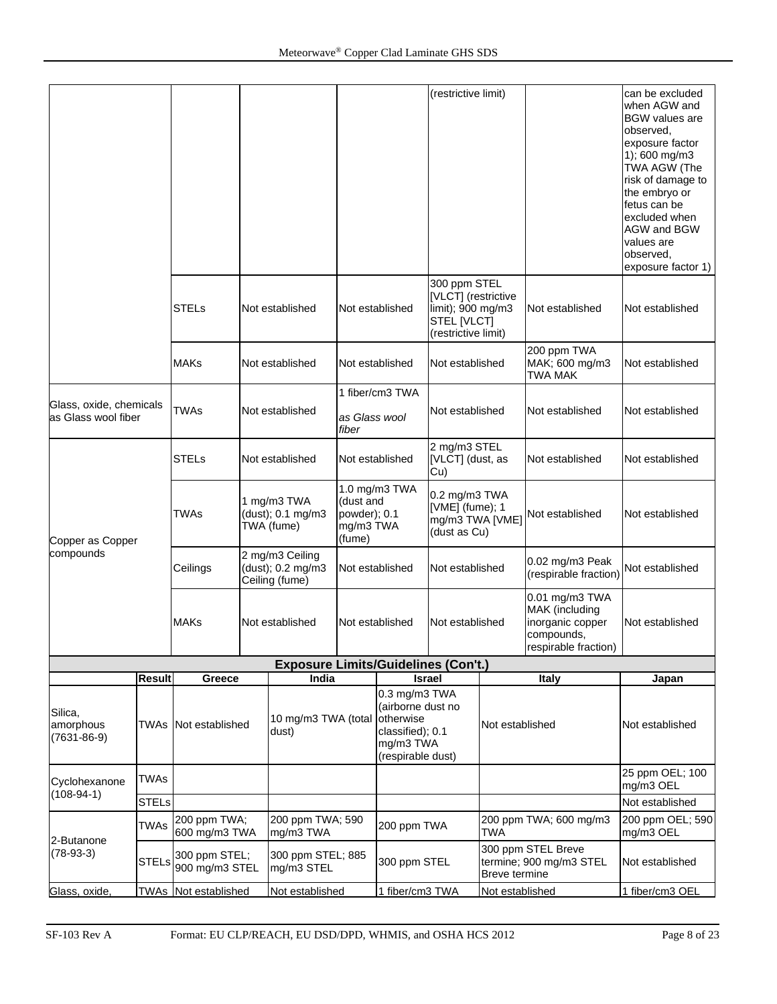|                                                |               |                                 |                 |                                                        |                                                                                  |                                                                   | (restrictive limit)                                                                            |                                                                                            |                                               | can be excluded<br>when AGW and<br><b>BGW</b> values are<br>observed,<br>exposure factor<br>1); 600 mg/m3<br>TWA AGW (The<br>risk of damage to<br>the embryo or<br>fetus can be<br>excluded when<br>AGW and BGW<br>values are<br>observed,<br>exposure factor 1) |
|------------------------------------------------|---------------|---------------------------------|-----------------|--------------------------------------------------------|----------------------------------------------------------------------------------|-------------------------------------------------------------------|------------------------------------------------------------------------------------------------|--------------------------------------------------------------------------------------------|-----------------------------------------------|------------------------------------------------------------------------------------------------------------------------------------------------------------------------------------------------------------------------------------------------------------------|
|                                                |               | <b>STELs</b>                    |                 | Not established                                        | Not established                                                                  |                                                                   | 300 ppm STEL<br>[VLCT] (restrictive<br>limit); 900 mg/m3<br>STEL [VLCT]<br>(restrictive limit) |                                                                                            | Not established                               | Not established                                                                                                                                                                                                                                                  |
|                                                |               | MAKs                            |                 | Not established                                        | Not established                                                                  |                                                                   | Not established                                                                                |                                                                                            | 200 ppm TWA<br>MAK; 600 mg/m3<br>TWA MAK      | Not established                                                                                                                                                                                                                                                  |
|                                                |               |                                 |                 |                                                        |                                                                                  | 1 fiber/cm3 TWA                                                   |                                                                                                |                                                                                            |                                               |                                                                                                                                                                                                                                                                  |
| Glass, oxide, chemicals<br>as Glass wool fiber |               | TWAs                            | Not established |                                                        | as Glass wool<br>fiber                                                           |                                                                   | Not established                                                                                |                                                                                            | Not established                               | Not established                                                                                                                                                                                                                                                  |
|                                                |               | <b>STELs</b>                    | Not established |                                                        | Not established                                                                  |                                                                   | 2 mg/m3 STEL<br>[VLCT] (dust, as<br>Cu)                                                        |                                                                                            | Not established                               | Not established                                                                                                                                                                                                                                                  |
| Copper as Copper                               |               | <b>TWAs</b>                     |                 | 1 mg/m3 TWA<br>(dust); 0.1 mg/m3<br>TWA (fume)         |                                                                                  | 1.0 mg/m3 TWA<br>(dust and<br>powder); 0.1<br>mg/m3 TWA<br>(fume) |                                                                                                | 0.2 mg/m3 TWA<br>[VME] (fume); 1<br>mg/m3 TWA [VME]<br>(dust as Cu)                        | Not established                               | Not established                                                                                                                                                                                                                                                  |
| compounds                                      |               | Ceilings                        |                 | 2 mg/m3 Ceiling<br>(dust); 0.2 mg/m3<br>Ceiling (fume) |                                                                                  | Not established                                                   | Not established                                                                                |                                                                                            | 0.02 mg/m3 Peak<br>(respirable fraction)      | Not established                                                                                                                                                                                                                                                  |
|                                                |               | <b>MAKs</b>                     |                 | Not established                                        |                                                                                  | Not established<br>Not established                                |                                                                                                | 0.01 mg/m3 TWA<br>MAK (including<br>inorganic copper<br>compounds,<br>respirable fraction) | Not established                               |                                                                                                                                                                                                                                                                  |
|                                                |               |                                 |                 | <b>Exposure Limits/Guidelines (Con't.)</b>             |                                                                                  |                                                                   |                                                                                                |                                                                                            |                                               |                                                                                                                                                                                                                                                                  |
|                                                | <b>Result</b> | Greece                          |                 | India                                                  |                                                                                  | <b>Israel</b>                                                     |                                                                                                |                                                                                            | <b>Italy</b>                                  | Japan                                                                                                                                                                                                                                                            |
| Silica,<br>amorphous<br>$(7631 - 86 - 9)$      |               | <b>TWAs</b> Not established     |                 | 10 mg/m3 TWA (total<br>dust)                           | 0.3 mg/m3 TWA<br>(airborne dust no<br>otherwise<br>classified); 0.1<br>mg/m3 TWA |                                                                   | (respirable dust)                                                                              | Not established                                                                            |                                               | Not established                                                                                                                                                                                                                                                  |
| Cyclohexanone<br>$(108-94-1)$                  | <b>TWAs</b>   |                                 |                 |                                                        |                                                                                  |                                                                   |                                                                                                |                                                                                            |                                               | 25 ppm OEL; 100<br>mg/m3 OEL                                                                                                                                                                                                                                     |
|                                                | <b>STELs</b>  |                                 |                 |                                                        |                                                                                  |                                                                   |                                                                                                |                                                                                            |                                               | Not established                                                                                                                                                                                                                                                  |
| 2-Butanone                                     | <b>TWAs</b>   | 200 ppm TWA;<br>600 mg/m3 TWA   |                 | 200 ppm TWA; 590<br>mg/m3 TWA                          |                                                                                  | 200 ppm TWA                                                       |                                                                                                | <b>TWA</b>                                                                                 | 200 ppm TWA; 600 mg/m3                        | 200 ppm OEL; 590<br>mg/m3 OEL                                                                                                                                                                                                                                    |
| $(78-93-3)$                                    | <b>STELs</b>  | 300 ppm STEL;<br>900 mg/m3 STEL |                 | 300 ppm STEL; 885<br>mg/m3 STEL                        |                                                                                  | 300 ppm STEL                                                      |                                                                                                | Breve termine                                                                              | 300 ppm STEL Breve<br>termine; 900 mg/m3 STEL | Not established                                                                                                                                                                                                                                                  |
| Glass, oxide,                                  |               | TWAs Not established            |                 | Not established                                        |                                                                                  | 1 fiber/cm3 TWA                                                   |                                                                                                | Not established                                                                            |                                               | 1 fiber/cm3 OEL                                                                                                                                                                                                                                                  |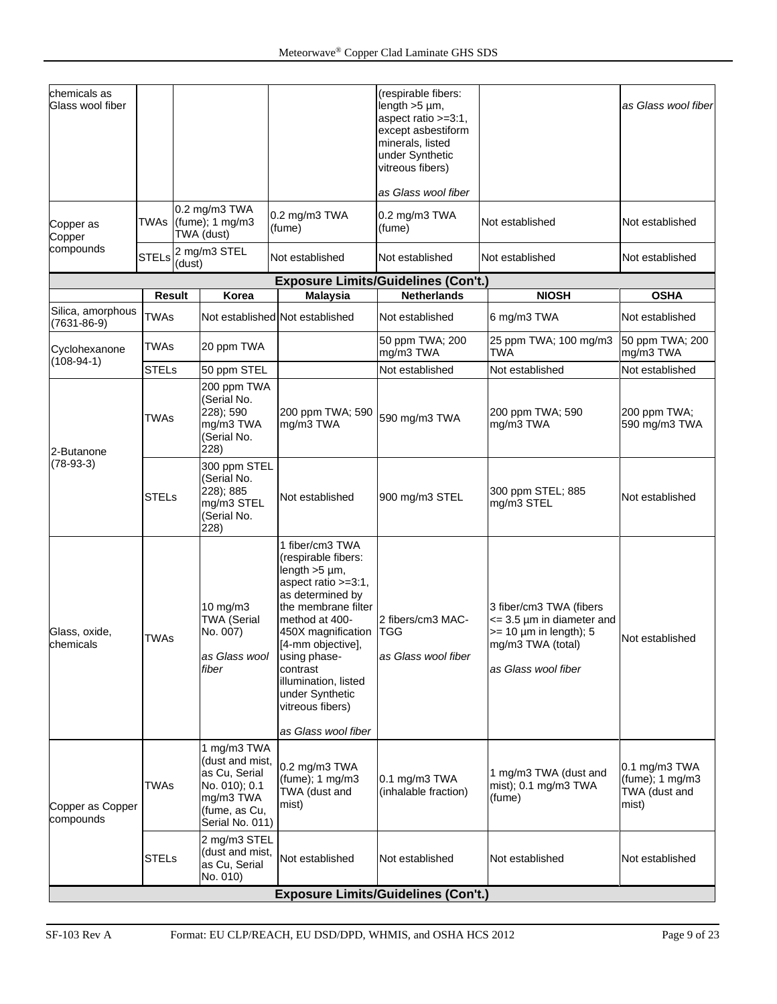| chemicals as<br>Glass wool fiber |              |                                                                               |                                                                                                                   |                                                                                                                                                                                                                                                                                         | (respirable fibers:<br>length $>5 \mu$ m,<br>aspect ratio >=3:1,<br>except asbestiform<br>minerals, listed<br>under Synthetic<br>vitreous fibers) |                                                                                                                                           | as Glass wool fiber                                        |
|----------------------------------|--------------|-------------------------------------------------------------------------------|-------------------------------------------------------------------------------------------------------------------|-----------------------------------------------------------------------------------------------------------------------------------------------------------------------------------------------------------------------------------------------------------------------------------------|---------------------------------------------------------------------------------------------------------------------------------------------------|-------------------------------------------------------------------------------------------------------------------------------------------|------------------------------------------------------------|
|                                  |              |                                                                               |                                                                                                                   |                                                                                                                                                                                                                                                                                         | as Glass wool fiber                                                                                                                               |                                                                                                                                           |                                                            |
| Copper as<br>Copper              |              |                                                                               | 0.2 mg/m3 TWA<br>TWAs $(func)$ ; 1 mg/m3<br>TWA (dust)                                                            | 0.2 mg/m3 TWA<br>(fume)                                                                                                                                                                                                                                                                 | 0.2 mg/m3 TWA<br>(fume)                                                                                                                           | Not established                                                                                                                           | Not established                                            |
| compounds                        | <b>STELs</b> | (dust)                                                                        | 2 mg/m3 STEL                                                                                                      | Not established                                                                                                                                                                                                                                                                         | Not established                                                                                                                                   | Not established                                                                                                                           | Not established                                            |
|                                  |              |                                                                               |                                                                                                                   |                                                                                                                                                                                                                                                                                         | <b>Exposure Limits/Guidelines (Con't.)</b>                                                                                                        |                                                                                                                                           |                                                            |
|                                  | Result       |                                                                               | Korea                                                                                                             | <b>Malaysia</b>                                                                                                                                                                                                                                                                         | <b>Netherlands</b>                                                                                                                                | <b>NIOSH</b>                                                                                                                              | <b>OSHA</b>                                                |
| Silica, amorphous<br>(7631-86-9) | <b>TWAs</b>  |                                                                               |                                                                                                                   | Not established Not established                                                                                                                                                                                                                                                         | Not established                                                                                                                                   | 6 mg/m3 TWA                                                                                                                               | Not established                                            |
| Cyclohexanone<br>$(108-94-1)$    | <b>TWAs</b>  |                                                                               | 20 ppm TWA                                                                                                        |                                                                                                                                                                                                                                                                                         | 50 ppm TWA; 200<br>mg/m3 TWA                                                                                                                      | 25 ppm TWA; 100 mg/m3<br><b>TWA</b>                                                                                                       | 50 ppm TWA; 200<br>mg/m3 TWA                               |
|                                  | <b>STELs</b> |                                                                               | 50 ppm STEL                                                                                                       |                                                                                                                                                                                                                                                                                         | Not established                                                                                                                                   | Not established                                                                                                                           | Not established                                            |
| <b>TWAs</b><br>2-Butanone        |              | 200 ppm TWA<br>(Serial No.<br>228); 590<br>mg/m3 TWA<br>(Serial No.<br>228)   | 200 ppm TWA; 590<br>mg/m3 TWA                                                                                     | 590 mg/m3 TWA                                                                                                                                                                                                                                                                           | 200 ppm TWA; 590<br>mg/m3 TWA                                                                                                                     | 200 ppm TWA;<br>590 mg/m3 TWA                                                                                                             |                                                            |
| $(78-93-3)$                      | <b>STELs</b> | 300 ppm STEL<br>(Serial No.<br>228); 885<br>mg/m3 STEL<br>(Serial No.<br>228) |                                                                                                                   | Not established                                                                                                                                                                                                                                                                         | 900 mg/m3 STEL                                                                                                                                    | 300 ppm STEL; 885<br>mg/m3 STEL                                                                                                           | Not established                                            |
| Glass, oxide,<br>chemicals       | <b>TWAs</b>  |                                                                               | 10 mg/m3<br><b>TWA (Serial</b><br>No. 007)<br>as Glass wool<br>fiber                                              | 1 fiber/cm3 TWA<br>(respirable fibers:<br>length $>5 \mu m$ ,<br>aspect ratio >=3:1,<br>as determined by<br>the membrane filter<br>method at 400-<br>450X magnification<br>[4-mm objective],<br>using phase-<br>contrast<br>illumination, listed<br>under Synthetic<br>vitreous fibers) | 2 fibers/cm3 MAC-<br><b>TGG</b><br>as Glass wool fiber                                                                                            | 3 fiber/cm3 TWA (fibers<br>$\epsilon$ = 3.5 µm in diameter and<br>$>= 10 \mu m$ in length); 5<br>mg/m3 TWA (total)<br>as Glass wool fiber | Not established                                            |
| Copper as Copper<br>compounds    | <b>TWAs</b>  |                                                                               | 1 mg/m3 TWA<br>(dust and mist,<br>as Cu, Serial<br>No. 010); 0.1<br>mg/m3 TWA<br>(fume, as Cu,<br>Serial No. 011) | as Glass wool fiber<br>0.2 mg/m3 TWA<br>$(fume)$ ; 1 mg/m3<br>TWA (dust and<br>mist)                                                                                                                                                                                                    | $0.1$ mg/m $3$ TWA<br>(inhalable fraction)                                                                                                        | 1 mg/m3 TWA (dust and<br>mist); 0.1 mg/m3 TWA<br>(fume)                                                                                   | 0.1 mg/m3 TWA<br>(fume); 1 mg/m3<br>TWA (dust and<br>mist) |
|                                  | <b>STELs</b> |                                                                               | 2 mg/m3 STEL<br>(dust and mist,<br>as Cu, Serial<br>No. 010)                                                      | Not established<br><b>Exposure Limits/Guidelines (Con't.)</b>                                                                                                                                                                                                                           | Not established                                                                                                                                   | Not established                                                                                                                           | Not established                                            |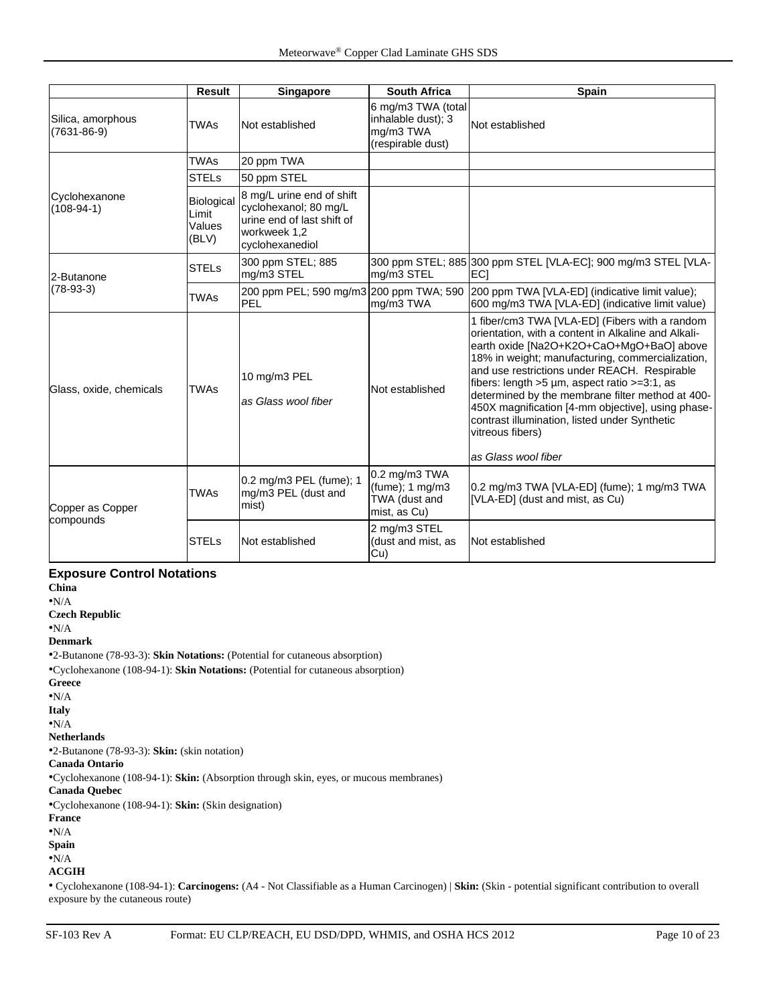|                                        | <b>Result</b>                                 | Singapore                                                                                                           | <b>South Africa</b>                                                        | <b>Spain</b>                                                                                                                                                                                                                                                                                                                                                                                                                                                                                                    |
|----------------------------------------|-----------------------------------------------|---------------------------------------------------------------------------------------------------------------------|----------------------------------------------------------------------------|-----------------------------------------------------------------------------------------------------------------------------------------------------------------------------------------------------------------------------------------------------------------------------------------------------------------------------------------------------------------------------------------------------------------------------------------------------------------------------------------------------------------|
| Silica, amorphous<br>$(7631 - 86 - 9)$ | <b>TWAs</b>                                   | Not established                                                                                                     | 6 mg/m3 TWA (total<br>inhalable dust); 3<br>mg/m3 TWA<br>(respirable dust) | Not established                                                                                                                                                                                                                                                                                                                                                                                                                                                                                                 |
|                                        | <b>TWAs</b>                                   | 20 ppm TWA                                                                                                          |                                                                            |                                                                                                                                                                                                                                                                                                                                                                                                                                                                                                                 |
|                                        | <b>STELs</b>                                  | 50 ppm STEL                                                                                                         |                                                                            |                                                                                                                                                                                                                                                                                                                                                                                                                                                                                                                 |
| Cyclohexanone<br>$(108-94-1)$          | <b>Biological</b><br>Limit<br>Values<br>(BLV) | 8 mg/L urine end of shift<br>cyclohexanol; 80 mg/L<br>urine end of last shift of<br>workweek 1,2<br>cyclohexanediol |                                                                            |                                                                                                                                                                                                                                                                                                                                                                                                                                                                                                                 |
| 2-Butanone                             | <b>STELs</b>                                  | 300 ppm STEL; 885<br>mg/m3 STEL                                                                                     | mg/m3 STEL                                                                 | 300 ppm STEL; 885 300 ppm STEL [VLA-EC]; 900 mg/m3 STEL [VLA-<br>EC1                                                                                                                                                                                                                                                                                                                                                                                                                                            |
| $(78-93-3)$                            | <b>TWAs</b>                                   | 200 ppm PEL; 590 mg/m3 200 ppm TWA; 590<br><b>PEL</b>                                                               | mg/m3 TWA                                                                  | 200 ppm TWA [VLA-ED] (indicative limit value);<br>600 mg/m3 TWA [VLA-ED] (indicative limit value)                                                                                                                                                                                                                                                                                                                                                                                                               |
| Glass, oxide, chemicals                | <b>TWAs</b>                                   | 10 mg/m3 PEL<br>as Glass wool fiber                                                                                 | Not established                                                            | 1 fiber/cm3 TWA [VLA-ED] (Fibers with a random<br>orientation, with a content in Alkaline and Alkali-<br>earth oxide [Na2O+K2O+CaO+MgO+BaO] above<br>18% in weight; manufacturing, commercialization,<br>and use restrictions under REACH. Respirable<br>fibers: length $>5$ µm, aspect ratio $>=3:1$ , as<br>determined by the membrane filter method at 400-<br>450X magnification [4-mm objective], using phase-<br>contrast illumination, listed under Synthetic<br>vitreous fibers)<br>as Glass wool fiber |
| Copper as Copper                       | <b>TWAs</b>                                   | 0.2 mg/m3 PEL (fume); 1<br>mg/m3 PEL (dust and<br>mist)                                                             | 0.2 mg/m3 TWA<br>$(fume)$ : 1 mg/m3<br>TWA (dust and<br>mist, as Cu)       | 0.2 mg/m3 TWA [VLA-ED] (fume); 1 mg/m3 TWA<br>[VLA-ED] (dust and mist, as Cu)                                                                                                                                                                                                                                                                                                                                                                                                                                   |
| compounds                              | <b>STELs</b>                                  | Not established                                                                                                     | 2 mg/m3 STEL<br>(dust and mist, as<br>Cu)                                  | Not established                                                                                                                                                                                                                                                                                                                                                                                                                                                                                                 |

#### **Exposure Control Notations**

**China** •N/A **Czech Republic** •N/A **Denmark** •2-Butanone (78-93-3): **Skin Notations:** (Potential for cutaneous absorption) •Cyclohexanone (108-94-1): **Skin Notations:** (Potential for cutaneous absorption) **Greece** •N/A **Italy** •N/A **Netherlands** •2-Butanone (78-93-3): **Skin:** (skin notation) **Canada Ontario** •Cyclohexanone (108-94-1): **Skin:** (Absorption through skin, eyes, or mucous membranes) **Canada Quebec** •Cyclohexanone (108-94-1): **Skin:** (Skin designation) **France** •N/A **Spain** •N/A **ACGIH**

• Cyclohexanone (108-94-1): **Carcinogens:** (A4 - Not Classifiable as a Human Carcinogen) | **Skin:** (Skin - potential significant contribution to overall exposure by the cutaneous route)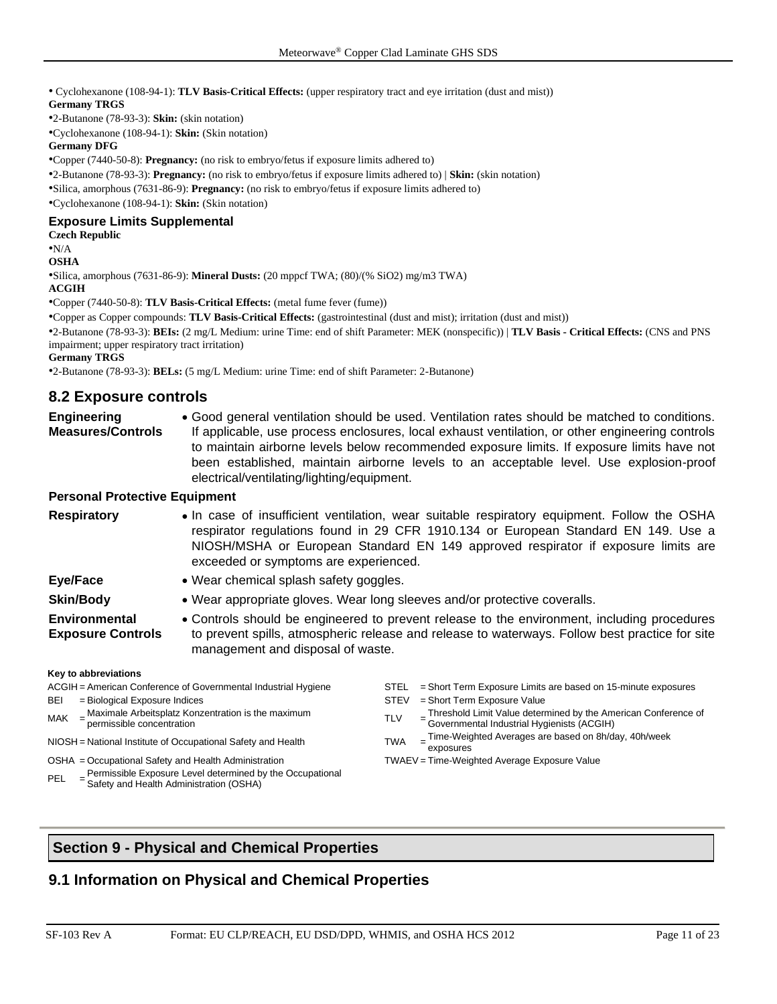• Cyclohexanone (108-94-1): **TLV Basis-Critical Effects:** (upper respiratory tract and eye irritation (dust and mist)) **Germany TRGS**

•2-Butanone (78-93-3): **Skin:** (skin notation)

•Cyclohexanone (108-94-1): **Skin:** (Skin notation)

**Germany DFG**

•Copper (7440-50-8): **Pregnancy:** (no risk to embryo/fetus if exposure limits adhered to)

•2-Butanone (78-93-3): **Pregnancy:** (no risk to embryo/fetus if exposure limits adhered to) | **Skin:** (skin notation)

•Silica, amorphous (7631-86-9): **Pregnancy:** (no risk to embryo/fetus if exposure limits adhered to)

•Cyclohexanone (108-94-1): **Skin:** (Skin notation)

#### **Exposure Limits Supplemental**

#### **Czech Republic**

•N/A

#### **OSHA**

•Silica, amorphous (7631-86-9): **Mineral Dusts:** (20 mppcf TWA; (80)/(% SiO2) mg/m3 TWA)

**ACGIH**

•Copper (7440-50-8): **TLV Basis-Critical Effects:** (metal fume fever (fume))

•Copper as Copper compounds: **TLV Basis-Critical Effects:** (gastrointestinal (dust and mist); irritation (dust and mist))

•2-Butanone (78-93-3): **BEIs:** (2 mg/L Medium: urine Time: end of shift Parameter: MEK (nonspecific)) | **TLV Basis - Critical Effects:** (CNS and PNS impairment; upper respiratory tract irritation)

**Germany TRGS**

•2-Butanone (78-93-3): **BELs:** (5 mg/L Medium: urine Time: end of shift Parameter: 2-Butanone)

## **8.2 Exposure controls**

| Engineering                                                                            | • Good general ventilation should be used. Ventilation rates should be matched to conditions.   |  |  |  |  |
|----------------------------------------------------------------------------------------|-------------------------------------------------------------------------------------------------|--|--|--|--|
| <b>Measures/Controls</b>                                                               | If applicable, use process enclosures, local exhaust ventilation, or other engineering controls |  |  |  |  |
|                                                                                        | to maintain airborne levels below recommended exposure limits. If exposure limits have not      |  |  |  |  |
| been established, maintain airborne levels to an acceptable level. Use explosion-proof |                                                                                                 |  |  |  |  |
|                                                                                        | electrical/ventilating/lighting/equipment.                                                      |  |  |  |  |

#### **Personal Protective Equipment**

| <b>Respiratory</b>                               | • In case of insufficient ventilation, wear suitable respiratory equipment. Follow the OSHA<br>respirator regulations found in 29 CFR 1910.134 or European Standard EN 149. Use a<br>NIOSH/MSHA or European Standard EN 149 approved respirator if exposure limits are<br>exceeded or symptoms are experienced. |  |  |  |  |  |
|--------------------------------------------------|-----------------------------------------------------------------------------------------------------------------------------------------------------------------------------------------------------------------------------------------------------------------------------------------------------------------|--|--|--|--|--|
| Eye/Face                                         | • Wear chemical splash safety goggles.                                                                                                                                                                                                                                                                          |  |  |  |  |  |
| <b>Skin/Body</b>                                 | • Wear appropriate gloves. Wear long sleeves and/or protective coveralls.                                                                                                                                                                                                                                       |  |  |  |  |  |
| <b>Environmental</b><br><b>Exposure Controls</b> | • Controls should be engineered to prevent release to the environment, including procedures<br>to prevent spills, atmospheric release and release to waterways. Follow best practice for site<br>management and disposal of waste.                                                                              |  |  |  |  |  |
| Key to abbreviations                             | ACGIH = American Conference of Governmental Industrial Hygiene<br>= Short Term Exposure Limits are based on 15-minute exposures<br><b>STEL</b>                                                                                                                                                                  |  |  |  |  |  |

BEI = Biological Exposure Indices STEV = Short Term Exposure Value

- Maximale Arbeitsplatz Konzentration is the maximum permissible concentration TLV <sup>=</sup> Threshold Limit Value determined by the American Conference of Governmental Industrial Hygienists (ACGIH)
- NIOSH = National Institute of Occupational Safety and Health TWA = Time-Weighted Averages are based on 8h/day, 40h/week exposures

OSHA = Occupational Safety and Health Administration TWAEV = Time-Weighted Average Exposure Value

 $\text{MAX}$  =  $\frac{\text{Maximize} \text{ A Der}}{\text{permissible} \text{ concentration}}$ 

- PEL Permissible Exposure Level determined by the Occupational
- Safety and Health Administration (OSHA)
- 

## **Section 9 - Physical and Chemical Properties**

## **9.1 Information on Physical and Chemical Properties**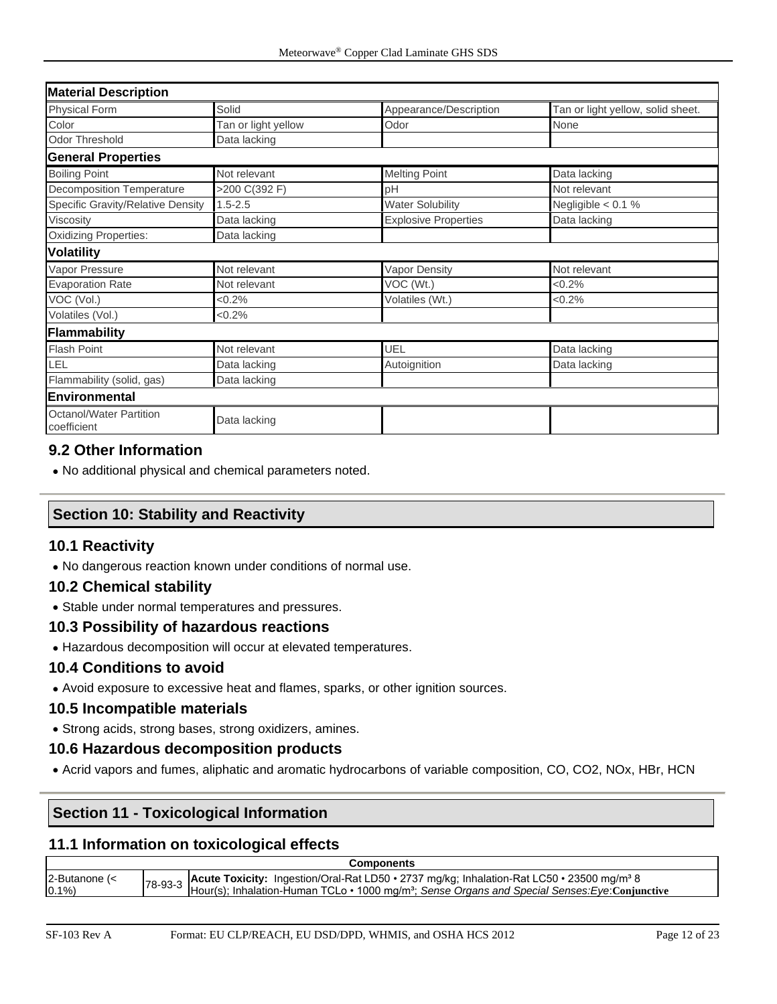| <b>Material Description</b>                   |                     |                             |                                   |  |  |  |
|-----------------------------------------------|---------------------|-----------------------------|-----------------------------------|--|--|--|
| <b>Physical Form</b>                          | Solid               | Appearance/Description      | Tan or light yellow, solid sheet. |  |  |  |
| Color                                         | Tan or light yellow | Odor                        | None                              |  |  |  |
| <b>Odor Threshold</b>                         | Data lacking        |                             |                                   |  |  |  |
| <b>General Properties</b>                     |                     |                             |                                   |  |  |  |
| <b>Boiling Point</b>                          | Not relevant        | <b>Melting Point</b>        | Data lacking                      |  |  |  |
| <b>Decomposition Temperature</b>              | >200 C(392 F)       | рH                          | Not relevant                      |  |  |  |
| Specific Gravity/Relative Density             | $1.5 - 2.5$         | <b>Water Solubility</b>     | Negligible $< 0.1$ %              |  |  |  |
| Viscosity                                     | Data lacking        | <b>Explosive Properties</b> | Data lacking                      |  |  |  |
| <b>Oxidizing Properties:</b>                  | Data lacking        |                             |                                   |  |  |  |
| <b>Volatility</b>                             |                     |                             |                                   |  |  |  |
| Vapor Pressure                                | Not relevant        | Vapor Density               | Not relevant                      |  |  |  |
| <b>Evaporation Rate</b>                       | Not relevant        | VOC (Wt.)                   | $<0.2\%$                          |  |  |  |
| VOC (Vol.)                                    | $<0.2\%$            | Volatiles (Wt.)             | $<0.2\%$                          |  |  |  |
| Volatiles (Vol.)                              | $<0.2\%$            |                             |                                   |  |  |  |
| Flammability                                  |                     |                             |                                   |  |  |  |
| <b>Flash Point</b>                            | Not relevant        | UEL                         | Data lacking                      |  |  |  |
| LEL                                           | Data lacking        | Autoignition                | Data lacking                      |  |  |  |
| Flammability (solid, gas)                     | Data lacking        |                             |                                   |  |  |  |
| Environmental                                 |                     |                             |                                   |  |  |  |
| <b>Octanol/Water Partition</b><br>coefficient | Data lacking        |                             |                                   |  |  |  |

## **9.2 Other Information**

• No additional physical and chemical parameters noted.

## **Section 10: Stability and Reactivity**

## **10.1 Reactivity**

• No dangerous reaction known under conditions of normal use.

## **10.2 Chemical stability**

• Stable under normal temperatures and pressures.

## **10.3 Possibility of hazardous reactions**

• Hazardous decomposition will occur at elevated temperatures.

### **10.4 Conditions to avoid**

• Avoid exposure to excessive heat and flames, sparks, or other ignition sources.

### **10.5 Incompatible materials**

• Strong acids, strong bases, strong oxidizers, amines.

### **10.6 Hazardous decomposition products**

• Acrid vapors and fumes, aliphatic and aromatic hydrocarbons of variable composition, CO, CO2, NOx, HBr, HCN

## **Section 11 - Toxicological Information**

## **11.1 Information on toxicological effects**

| <b>Components</b>                |  |                                                                                                                                                                                                                              |  |  |  |
|----------------------------------|--|------------------------------------------------------------------------------------------------------------------------------------------------------------------------------------------------------------------------------|--|--|--|
| $2$ -Butanone $\left( < \right)$ |  | 78-93-3 Acute Toxicity: Ingestion/Oral-Rat LD50 • 2737 mg/kg; Inhalation-Rat LC50 • 23500 mg/m <sup>3</sup> 8<br>Hour(s); Inhalation-Human TCLo • 1000 mg/m <sup>3</sup> ; Sense Organs and Special Senses: Eye: Conjunctive |  |  |  |
| 0.1%                             |  |                                                                                                                                                                                                                              |  |  |  |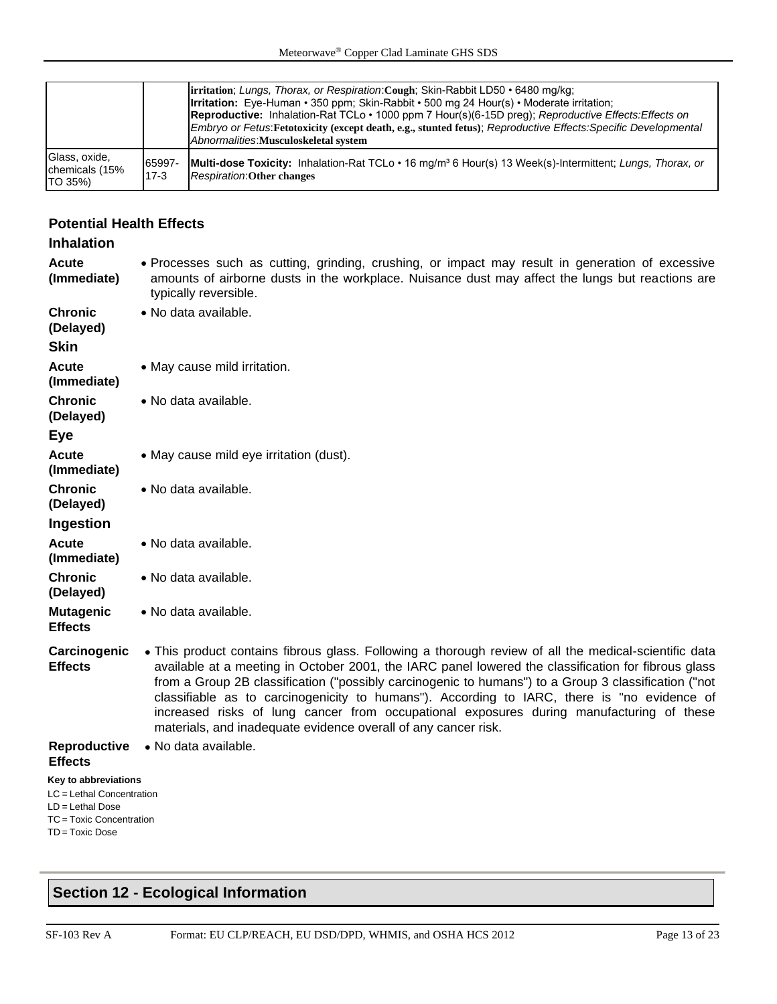|                                            |                  | <b>irritation</b> ; Lungs, Thorax, or Respiration: Cough; Skin-Rabbit LD50 • 6480 mg/kg;<br><b>Irritation:</b> Eye-Human • 350 ppm; Skin-Rabbit • 500 mg 24 Hour(s) • Moderate irritation;<br><b>Reproductive:</b> Inhalation-Rat TCLo • 1000 ppm 7 Hour(s)(6-15D preg); Reproductive Effects: Effects on<br>Embryo or Fetus: Fetotoxicity (except death, e.g., stunted fetus); Reproductive Effects: Specific Developmental<br>Abnormalities: Musculoskeletal system |
|--------------------------------------------|------------------|-----------------------------------------------------------------------------------------------------------------------------------------------------------------------------------------------------------------------------------------------------------------------------------------------------------------------------------------------------------------------------------------------------------------------------------------------------------------------|
| Glass, oxide,<br>chemicals (15%<br>TO 35%) | 65997-<br>$17-3$ | <b>Multi-dose Toxicity:</b> Inhalation-Rat TCLo • 16 mg/m <sup>3</sup> 6 Hour(s) 13 Week(s)-Intermittent: Lungs, Thorax, or<br><b>Respiration: Other changes</b>                                                                                                                                                                                                                                                                                                      |

## **Potential Health Effects**

## **Inhalation Acute**

- **(Immediate)** • Processes such as cutting, grinding, crushing, or impact may result in generation of excessive amounts of airborne dusts in the workplace. Nuisance dust may affect the lungs but reactions are typically reversible.
- **Chronic (Delayed)** • No data available.
- **Skin**
- **Acute (Immediate)** • May cause mild irritation.
- **Chronic**  • No data available.
- **(Delayed) Eye**
- **Acute**  • May cause mild eye irritation (dust).

• No data available.

• No data available.

• No data available.

- **(Immediate) Chronic**  • No data available.
- **(Delayed)**
- **Ingestion**
- **Acute**
- **(Immediate)**
- **Chronic (Delayed)**
- **Mutagenic**
- **Effects**
- **Carcinogenic Effects** • This product contains fibrous glass. Following a thorough review of all the medical-scientific data available at a meeting in October 2001, the IARC panel lowered the classification for fibrous glass from a Group 2B classification ("possibly carcinogenic to humans") to a Group 3 classification ("not classifiable as to carcinogenicity to humans"). According to IARC, there is "no evidence of increased risks of lung cancer from occupational exposures during manufacturing of these materials, and inadequate evidence overall of any cancer risk.
- **Reproductive**  No data available.

## **Effects**

- **Key to abbreviations**
- LC = Lethal Concentration LD = Lethal Dose TC = Toxic Concentration
- TD = Toxic Dose

## **Section 12 - Ecological Information**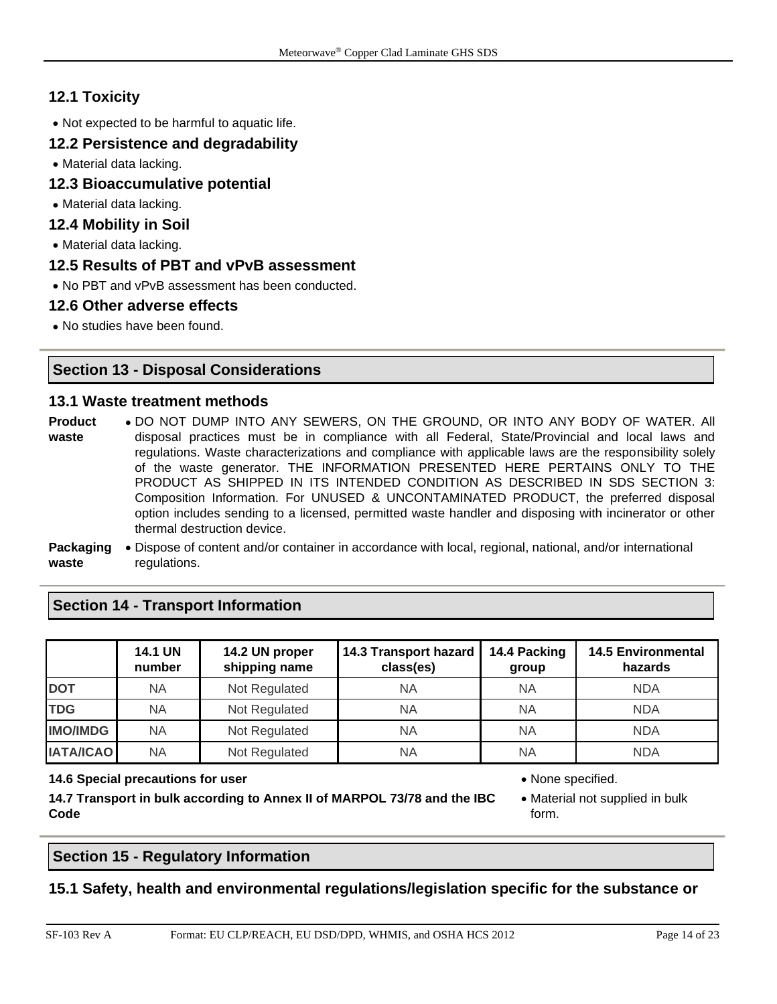## **12.1 Toxicity**

• Not expected to be harmful to aquatic life.

## **12.2 Persistence and degradability**

• Material data lacking.

- **12.3 Bioaccumulative potential**
- Material data lacking.

## **12.4 Mobility in Soil**

• Material data lacking.

## **12.5 Results of PBT and vPvB assessment**

• No PBT and vPvB assessment has been conducted.

## **12.6 Other adverse effects**

• No studies have been found.

## **Section 13 - Disposal Considerations**

## **13.1 Waste treatment methods**

- **Product waste** • DO NOT DUMP INTO ANY SEWERS, ON THE GROUND, OR INTO ANY BODY OF WATER. All disposal practices must be in compliance with all Federal, State/Provincial and local laws and regulations. Waste characterizations and compliance with applicable laws are the responsibility solely of the waste generator. THE INFORMATION PRESENTED HERE PERTAINS ONLY TO THE PRODUCT AS SHIPPED IN ITS INTENDED CONDITION AS DESCRIBED IN SDS SECTION 3: Composition Information. For UNUSED & UNCONTAMINATED PRODUCT, the preferred disposal option includes sending to a licensed, permitted waste handler and disposing with incinerator or other thermal destruction device.
- **Packaging**  Dispose of content and/or container in accordance with local, regional, national, and/or international **waste** regulations.

**Section 14 - Transport Information**

|                  | <b>14.1 UN</b><br>number | 14.2 UN proper<br>shipping name | 14.3 Transport hazard<br>class(es) | 14.4 Packing<br>group | <b>14.5 Environmental</b><br>hazards |
|------------------|--------------------------|---------------------------------|------------------------------------|-----------------------|--------------------------------------|
| <b>DOT</b>       | NA                       | Not Regulated                   | ΝA                                 | NA                    | <b>NDA</b>                           |
| <b>TDG</b>       | NA                       | Not Regulated                   | <b>NA</b>                          | <b>NA</b>             | <b>NDA</b>                           |
| <b>IMO/IMDG</b>  | NA                       | Not Regulated                   | <b>NA</b>                          | NA                    | <b>NDA</b>                           |
| <b>IATA/ICAO</b> | NA                       | Not Regulated                   | ΝA                                 | NA                    | <b>NDA</b>                           |

#### **14.6 Special precautions for user** • None specified.

**14.7 Transport in bulk according to Annex II of MARPOL 73/78 and the IBC Code**

### **Section 15 - Regulatory Information**

## **15.1 Safety, health and environmental regulations/legislation specific for the substance or**

<sup>•</sup> Material not supplied in bulk form.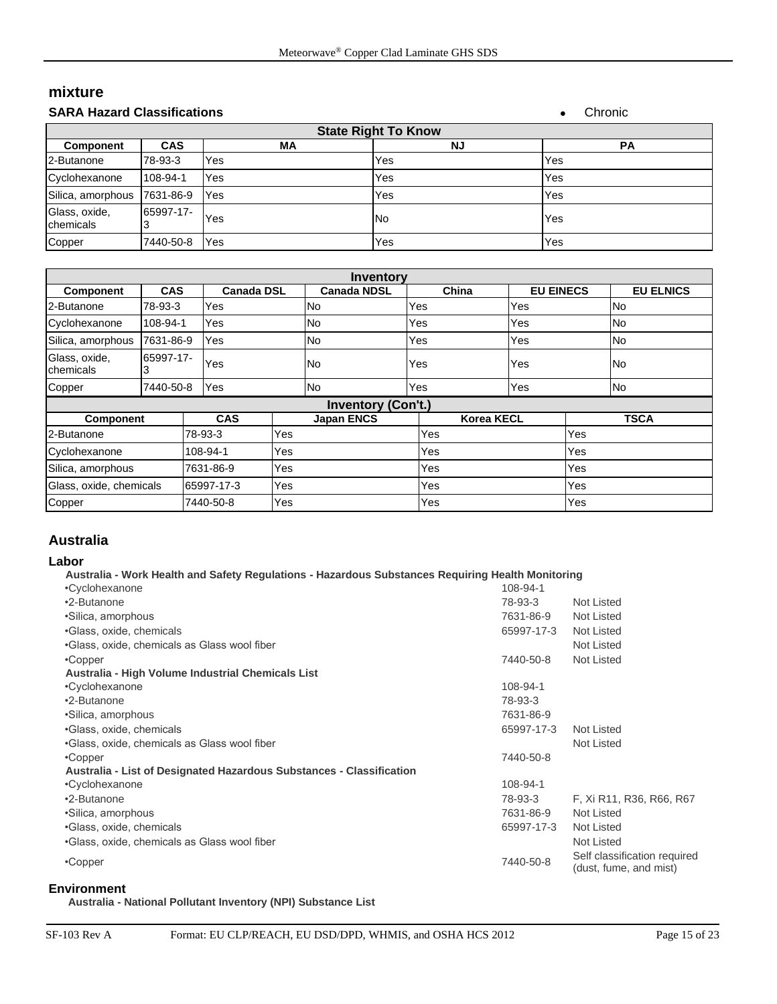# **mixture**

| <b>SARA Hazard Classifications</b> |            |     |     | Chronic   |  |  |
|------------------------------------|------------|-----|-----|-----------|--|--|
| <b>State Right To Know</b>         |            |     |     |           |  |  |
| <b>Component</b>                   | <b>CAS</b> | МA  | ΝJ  | <b>PA</b> |  |  |
| 2-Butanone                         | 78-93-3    | Yes | Yes | Yes       |  |  |
| Cyclohexanone                      | 108-94-1   | Yes | Yes | Yes       |  |  |
| Silica, amorphous                  | 7631-86-9  | Yes | Yes | Yes       |  |  |
| Glass, oxide,<br>chemicals         | 65997-17-  | Yes | No  | Yes       |  |  |
| Copper                             | 7440-50-8  | Yes | Yes | Yes       |  |  |

| <b>Inventory</b>            |            |                   |     |                           |       |                   |                  |                  |  |
|-----------------------------|------------|-------------------|-----|---------------------------|-------|-------------------|------------------|------------------|--|
| <b>Component</b>            | <b>CAS</b> | <b>Canada DSL</b> |     | <b>Canada NDSL</b>        | China |                   | <b>EU EINECS</b> | <b>EU ELNICS</b> |  |
| 2-Butanone                  | 78-93-3    | Yes               |     | No                        | Yes   | Yes               |                  | No               |  |
| Cyclohexanone               | 108-94-1   | Yes               |     | No                        | Yes   | Yes               |                  | <b>No</b>        |  |
| Silica, amorphous           | 7631-86-9  | Yes               |     | No                        | Yes   | Yes               |                  | No               |  |
| Glass, oxide,<br>Ichemicals | 65997-17-  | Yes               |     | No                        | Yes   | Yes               |                  | <b>No</b>        |  |
| Copper                      | 7440-50-8  | Yes               |     | No                        | Yes   | Yes               |                  | No               |  |
|                             |            |                   |     | <b>Inventory (Con't.)</b> |       |                   |                  |                  |  |
| <b>Component</b>            |            | <b>CAS</b>        |     | <b>Japan ENCS</b>         |       | <b>Korea KECL</b> |                  | <b>TSCA</b>      |  |
| 2-Butanone                  |            | 78-93-3           | Yes |                           | Yes   |                   | Yes              |                  |  |
| Cyclohexanone               |            | 108-94-1          | Yes |                           | Yes   |                   | Yes              |                  |  |
| Silica, amorphous           |            | 7631-86-9         | Yes |                           | Yes   |                   | Yes              |                  |  |
| Glass, oxide, chemicals     |            | 65997-17-3        | Yes |                           | Yes   |                   | Yes              |                  |  |
| Copper                      |            | 7440-50-8         | Yes |                           | Yes   |                   | Yes              |                  |  |

## **Australia**

#### **Labor**

#### **Australia - Work Health and Safety Regulations - Hazardous Substances Requiring Health Monitoring**

| •Cyclohexanone                                                       | 108-94-1   |                                                        |
|----------------------------------------------------------------------|------------|--------------------------------------------------------|
| •2-Butanone                                                          | 78-93-3    | Not Listed                                             |
| •Silica, amorphous                                                   | 7631-86-9  | Not Listed                                             |
| ·Glass, oxide, chemicals                                             | 65997-17-3 | Not Listed                                             |
| •Glass, oxide, chemicals as Glass wool fiber                         |            | Not Listed                                             |
| $\cdot$ Copper                                                       | 7440-50-8  | Not Listed                                             |
| Australia - High Volume Industrial Chemicals List                    |            |                                                        |
| •Cyclohexanone                                                       | 108-94-1   |                                                        |
| •2-Butanone                                                          | 78-93-3    |                                                        |
| •Silica, amorphous                                                   | 7631-86-9  |                                                        |
| •Glass, oxide, chemicals                                             | 65997-17-3 | Not Listed                                             |
| •Glass, oxide, chemicals as Glass wool fiber                         |            | Not Listed                                             |
| $\cdot$ Copper                                                       | 7440-50-8  |                                                        |
| Australia - List of Designated Hazardous Substances - Classification |            |                                                        |
| •Cyclohexanone                                                       | 108-94-1   |                                                        |
| •2-Butanone                                                          | 78-93-3    | F, Xi R11, R36, R66, R67                               |
| •Silica, amorphous                                                   | 7631-86-9  | Not Listed                                             |
| •Glass, oxide, chemicals                                             | 65997-17-3 | Not Listed                                             |
| •Glass, oxide, chemicals as Glass wool fiber                         |            | Not Listed                                             |
| •Copper                                                              | 7440-50-8  | Self classification required<br>(dust, fume, and mist) |

#### **Environment**

**Australia - National Pollutant Inventory (NPI) Substance List**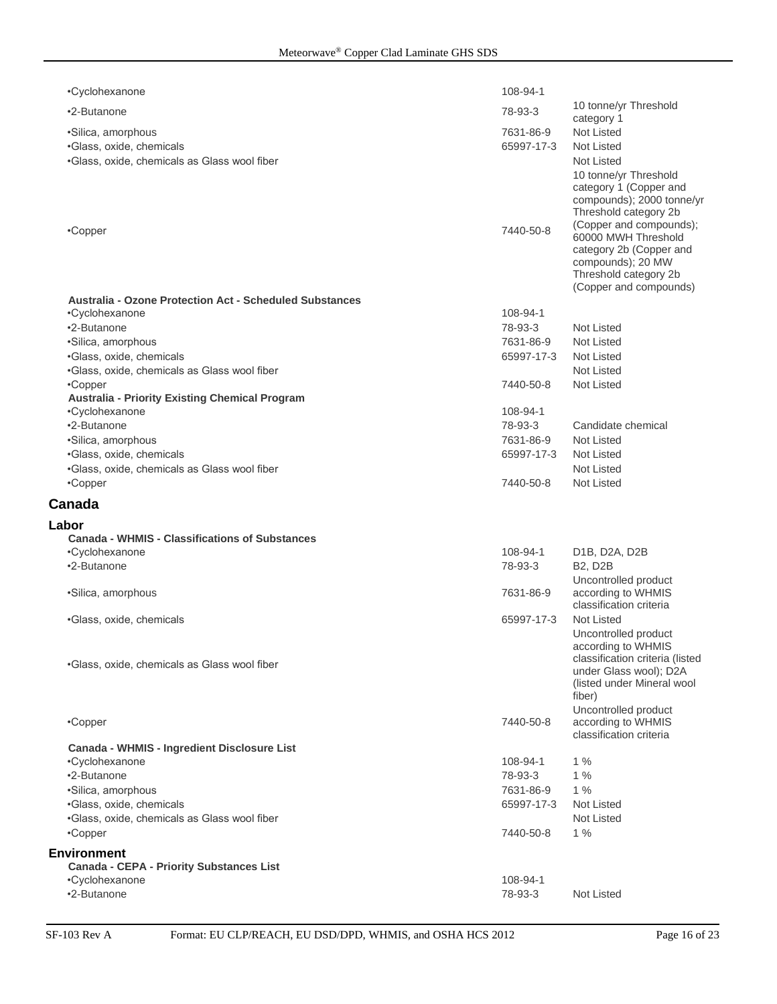| •Cyclohexanone                                                           | 108-94-1                |                                                                                                                                                   |
|--------------------------------------------------------------------------|-------------------------|---------------------------------------------------------------------------------------------------------------------------------------------------|
| •2-Butanone                                                              | 78-93-3                 | 10 tonne/yr Threshold                                                                                                                             |
|                                                                          |                         | category 1                                                                                                                                        |
| ·Silica, amorphous                                                       | 7631-86-9<br>65997-17-3 | Not Listed<br><b>Not Listed</b>                                                                                                                   |
| ·Glass, oxide, chemicals                                                 |                         | <b>Not Listed</b>                                                                                                                                 |
| .Glass, oxide, chemicals as Glass wool fiber                             |                         | 10 tonne/yr Threshold<br>category 1 (Copper and<br>compounds); 2000 tonne/yr<br>Threshold category 2b                                             |
| •Copper                                                                  | 7440-50-8               | (Copper and compounds);<br>60000 MWH Threshold<br>category 2b (Copper and<br>compounds); 20 MW<br>Threshold category 2b<br>(Copper and compounds) |
| <b>Australia - Ozone Protection Act - Scheduled Substances</b>           |                         |                                                                                                                                                   |
| •Cyclohexanone                                                           | 108-94-1                |                                                                                                                                                   |
| •2-Butanone                                                              | 78-93-3                 | <b>Not Listed</b>                                                                                                                                 |
| •Silica, amorphous                                                       | 7631-86-9               | <b>Not Listed</b>                                                                                                                                 |
| ·Glass, oxide, chemicals<br>.Glass, oxide, chemicals as Glass wool fiber | 65997-17-3              | <b>Not Listed</b><br><b>Not Listed</b>                                                                                                            |
| •Copper                                                                  | 7440-50-8               | <b>Not Listed</b>                                                                                                                                 |
| <b>Australia - Priority Existing Chemical Program</b>                    |                         |                                                                                                                                                   |
| •Cyclohexanone                                                           | 108-94-1                |                                                                                                                                                   |
| •2-Butanone                                                              | 78-93-3                 | Candidate chemical                                                                                                                                |
| ·Silica, amorphous                                                       | 7631-86-9               | <b>Not Listed</b>                                                                                                                                 |
| ·Glass, oxide, chemicals                                                 | 65997-17-3              | <b>Not Listed</b>                                                                                                                                 |
| .Glass, oxide, chemicals as Glass wool fiber                             |                         | <b>Not Listed</b>                                                                                                                                 |
| •Copper                                                                  | 7440-50-8               | <b>Not Listed</b>                                                                                                                                 |
|                                                                          |                         |                                                                                                                                                   |
| Canada                                                                   |                         |                                                                                                                                                   |
|                                                                          |                         |                                                                                                                                                   |
| Labor<br><b>Canada - WHMIS - Classifications of Substances</b>           |                         |                                                                                                                                                   |
| •Cyclohexanone                                                           | 108-94-1                | D1B, D2A, D2B                                                                                                                                     |
| •2-Butanone                                                              | 78-93-3                 | <b>B2, D2B</b>                                                                                                                                    |
| ·Silica, amorphous                                                       | 7631-86-9               | Uncontrolled product<br>according to WHMIS<br>classification criteria                                                                             |
| •Glass, oxide, chemicals                                                 | 65997-17-3              | Not Listed                                                                                                                                        |
|                                                                          |                         | Uncontrolled product<br>according to WHMIS<br>classification criteria (listed                                                                     |
| •Glass, oxide, chemicals as Glass wool fiber                             |                         | under Glass wool); D2A<br>(listed under Mineral wool<br>fiber)                                                                                    |
| •Copper                                                                  | 7440-50-8               | Uncontrolled product<br>according to WHMIS<br>classification criteria                                                                             |
| <b>Canada - WHMIS - Ingredient Disclosure List</b>                       |                         |                                                                                                                                                   |
| •Cyclohexanone                                                           | 108-94-1                | 1%                                                                                                                                                |
| •2-Butanone                                                              | 78-93-3                 | 1%                                                                                                                                                |
| ·Silica, amorphous                                                       | 7631-86-9               | 1%                                                                                                                                                |
| ·Glass, oxide, chemicals                                                 | 65997-17-3              | <b>Not Listed</b>                                                                                                                                 |
| .Glass, oxide, chemicals as Glass wool fiber                             |                         | <b>Not Listed</b>                                                                                                                                 |
| •Copper                                                                  | 7440-50-8               | $1\%$                                                                                                                                             |
| <b>Environment</b>                                                       |                         |                                                                                                                                                   |
| <b>Canada - CEPA - Priority Substances List</b>                          | 108-94-1                |                                                                                                                                                   |
| •Cyclohexanone<br>•2-Butanone                                            | 78-93-3                 | <b>Not Listed</b>                                                                                                                                 |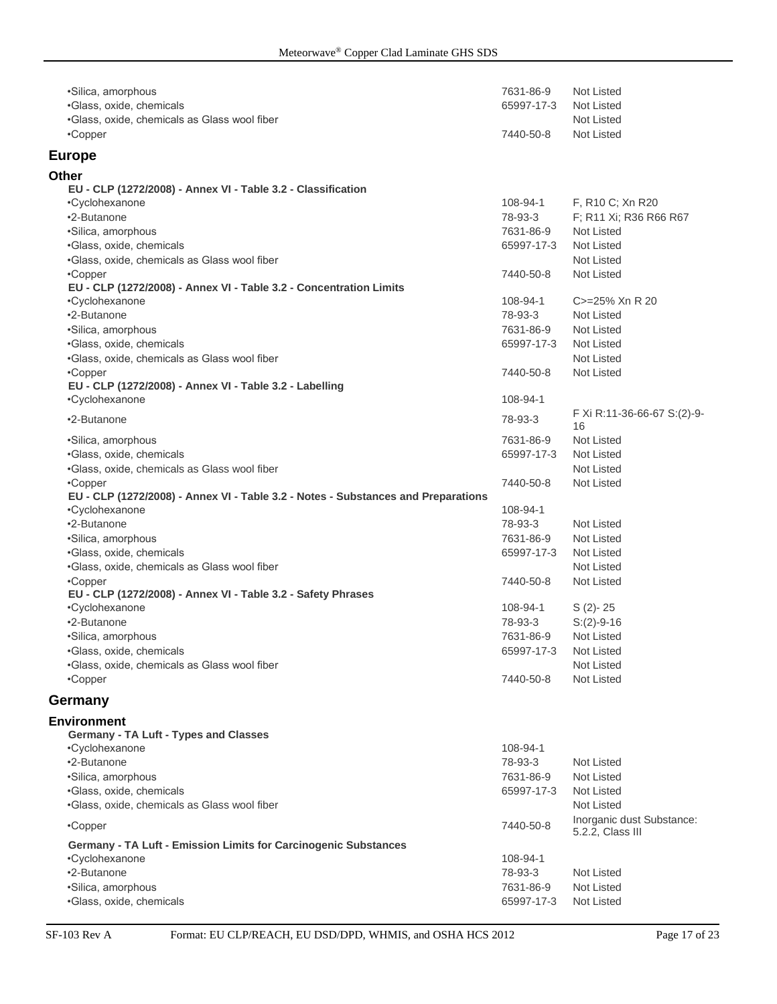| ·Silica, amorphous                                                                | 7631-86-9             | Not Listed                  |
|-----------------------------------------------------------------------------------|-----------------------|-----------------------------|
| ·Glass, oxide, chemicals                                                          | 65997-17-3            | Not Listed                  |
| ·Glass, oxide, chemicals as Glass wool fiber                                      |                       | Not Listed                  |
| •Copper                                                                           | 7440-50-8             | Not Listed                  |
|                                                                                   |                       |                             |
| <b>Europe</b>                                                                     |                       |                             |
| Other                                                                             |                       |                             |
| EU - CLP (1272/2008) - Annex VI - Table 3.2 - Classification                      |                       |                             |
| •Cyclohexanone                                                                    | 108-94-1              | F, R10 C; Xn R20            |
| •2-Butanone                                                                       | 78-93-3               | F; R11 Xi; R36 R66 R67      |
| ·Silica, amorphous                                                                | 7631-86-9             | Not Listed                  |
| ·Glass, oxide, chemicals                                                          | 65997-17-3            | Not Listed                  |
| .Glass, oxide, chemicals as Glass wool fiber                                      |                       | Not Listed                  |
| •Copper                                                                           |                       | Not Listed                  |
| EU - CLP (1272/2008) - Annex VI - Table 3.2 - Concentration Limits                | 7440-50-8             |                             |
|                                                                                   | 108-94-1              | C>=25% Xn R 20              |
| •Cyclohexanone                                                                    |                       |                             |
| •2-Butanone                                                                       | 78-93-3               | Not Listed                  |
| •Silica, amorphous                                                                | 7631-86-9             | Not Listed                  |
| ·Glass, oxide, chemicals                                                          | 65997-17-3            | Not Listed                  |
| .Glass, oxide, chemicals as Glass wool fiber                                      |                       | Not Listed                  |
| •Copper                                                                           | 7440-50-8             | <b>Not Listed</b>           |
| EU - CLP (1272/2008) - Annex VI - Table 3.2 - Labelling                           |                       |                             |
| •Cyclohexanone                                                                    | 108-94-1              |                             |
| •2-Butanone                                                                       | 78-93-3               | F Xi R:11-36-66-67 S:(2)-9- |
|                                                                                   |                       | 16                          |
| •Silica, amorphous                                                                | 7631-86-9             | Not Listed                  |
| ·Glass, oxide, chemicals                                                          | 65997-17-3            | Not Listed                  |
| ·Glass, oxide, chemicals as Glass wool fiber                                      |                       | Not Listed                  |
| •Copper                                                                           | 7440-50-8             | Not Listed                  |
| EU - CLP (1272/2008) - Annex VI - Table 3.2 - Notes - Substances and Preparations |                       |                             |
| •Cyclohexanone                                                                    | 108-94-1              |                             |
| •2-Butanone                                                                       | 78-93-3               | Not Listed                  |
| •Silica, amorphous                                                                | 7631-86-9             | Not Listed                  |
| ·Glass, oxide, chemicals                                                          | 65997-17-3            | Not Listed                  |
| •Glass, oxide, chemicals as Glass wool fiber                                      |                       | Not Listed                  |
| •Copper                                                                           | 7440-50-8             | Not Listed                  |
| EU - CLP (1272/2008) - Annex VI - Table 3.2 - Safety Phrases                      |                       |                             |
| •Cyclohexanone                                                                    | 108-94-1              | $S(2) - 25$                 |
| •2-Butanone                                                                       | 78-93-3               | $S:(2)-9-16$                |
|                                                                                   |                       |                             |
| •Silica, amorphous                                                                | 7631-86-9             | Not Listed                  |
| ·Glass, oxide, chemicals                                                          | 65997-17-3 Not Listed |                             |
| .Glass, oxide, chemicals as Glass wool fiber                                      |                       | Not Listed                  |
| •Copper                                                                           | 7440-50-8             | Not Listed                  |
| Germany                                                                           |                       |                             |
|                                                                                   |                       |                             |
| <b>Environment</b>                                                                |                       |                             |
| Germany - TA Luft - Types and Classes                                             |                       |                             |
| •Cyclohexanone                                                                    | 108-94-1              |                             |
| •2-Butanone                                                                       | 78-93-3               | Not Listed                  |
| ·Silica, amorphous                                                                | 7631-86-9             | Not Listed                  |
| ·Glass, oxide, chemicals                                                          | 65997-17-3            | Not Listed                  |
| .Glass, oxide, chemicals as Glass wool fiber                                      |                       | Not Listed                  |
|                                                                                   |                       | Inorganic dust Substance:   |
| •Copper                                                                           | 7440-50-8             | 5.2.2, Class III            |
| Germany - TA Luft - Emission Limits for Carcinogenic Substances                   |                       |                             |
| •Cyclohexanone                                                                    | 108-94-1              |                             |
| •2-Butanone                                                                       | 78-93-3               | Not Listed                  |
| ·Silica, amorphous                                                                | 7631-86-9             | <b>Not Listed</b>           |
| ·Glass, oxide, chemicals                                                          | 65997-17-3            | Not Listed                  |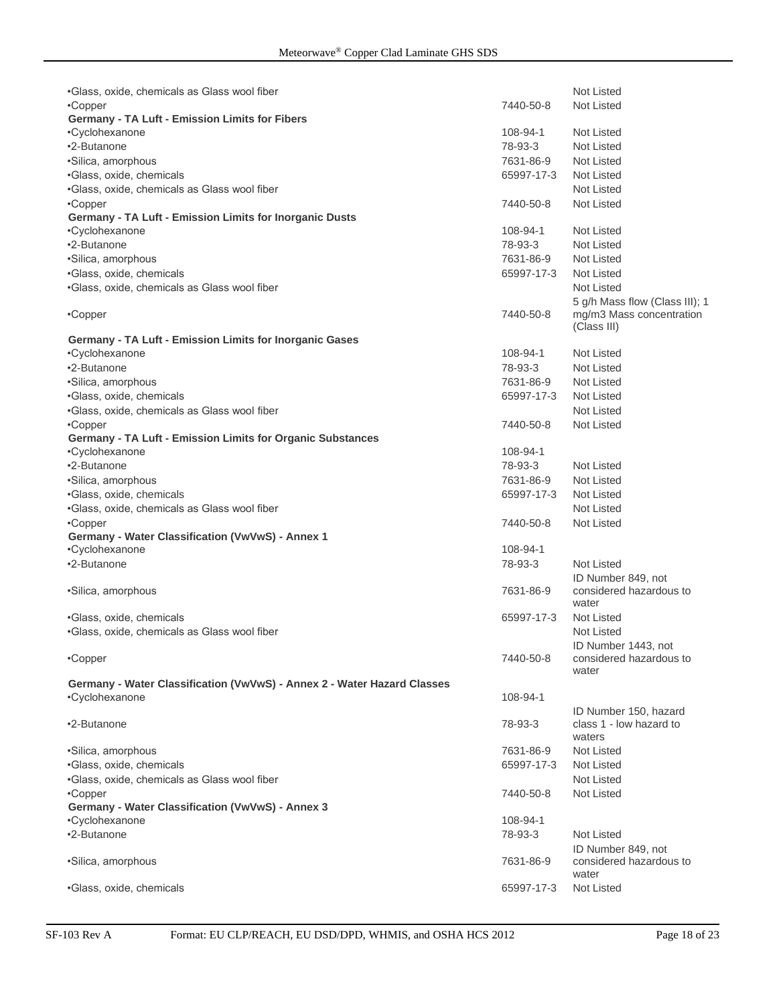| .Glass, oxide, chemicals as Glass wool fiber                            |            | <b>Not Listed</b>                                          |
|-------------------------------------------------------------------------|------------|------------------------------------------------------------|
| •Copper                                                                 | 7440-50-8  | <b>Not Listed</b>                                          |
| <b>Germany - TA Luft - Emission Limits for Fibers</b>                   |            |                                                            |
| •Cyclohexanone                                                          | 108-94-1   | Not Listed                                                 |
| •2-Butanone                                                             | 78-93-3    | Not Listed                                                 |
| ·Silica, amorphous                                                      | 7631-86-9  | Not Listed                                                 |
| ·Glass, oxide, chemicals                                                | 65997-17-3 | Not Listed                                                 |
| •Glass, oxide, chemicals as Glass wool fiber                            |            | Not Listed                                                 |
| •Copper                                                                 | 7440-50-8  | Not Listed                                                 |
| Germany - TA Luft - Emission Limits for Inorganic Dusts                 |            |                                                            |
| •Cyclohexanone                                                          | 108-94-1   | <b>Not Listed</b>                                          |
| •2-Butanone                                                             | 78-93-3    | Not Listed                                                 |
| •Silica, amorphous                                                      | 7631-86-9  | Not Listed                                                 |
| ·Glass, oxide, chemicals                                                | 65997-17-3 | Not Listed                                                 |
| ·Glass, oxide, chemicals as Glass wool fiber                            |            | <b>Not Listed</b>                                          |
|                                                                         |            | 5 g/h Mass flow (Class III); 1                             |
| •Copper                                                                 | 7440-50-8  | mg/m3 Mass concentration                                   |
|                                                                         |            | (Class III)                                                |
| Germany - TA Luft - Emission Limits for Inorganic Gases                 |            |                                                            |
| •Cyclohexanone                                                          | 108-94-1   | <b>Not Listed</b>                                          |
| •2-Butanone                                                             | 78-93-3    | <b>Not Listed</b>                                          |
| •Silica, amorphous                                                      | 7631-86-9  | Not Listed                                                 |
| •Glass, oxide, chemicals                                                | 65997-17-3 | Not Listed                                                 |
| .Glass, oxide, chemicals as Glass wool fiber                            |            | Not Listed                                                 |
| •Copper                                                                 | 7440-50-8  | <b>Not Listed</b>                                          |
| Germany - TA Luft - Emission Limits for Organic Substances              |            |                                                            |
| •Cyclohexanone                                                          | 108-94-1   |                                                            |
| •2-Butanone                                                             | 78-93-3    | <b>Not Listed</b>                                          |
| ·Silica, amorphous                                                      | 7631-86-9  | Not Listed                                                 |
| ·Glass, oxide, chemicals                                                | 65997-17-3 | Not Listed                                                 |
| •Glass, oxide, chemicals as Glass wool fiber                            |            | <b>Not Listed</b>                                          |
| •Copper                                                                 | 7440-50-8  | <b>Not Listed</b>                                          |
| Germany - Water Classification (VwVwS) - Annex 1                        |            |                                                            |
| •Cyclohexanone                                                          | 108-94-1   |                                                            |
| •2-Butanone                                                             | 78-93-3    | Not Listed                                                 |
| •Silica, amorphous                                                      | 7631-86-9  | ID Number 849, not<br>considered hazardous to<br>water     |
| ·Glass, oxide, chemicals                                                | 65997-17-3 | <b>Not Listed</b>                                          |
| .Glass, oxide, chemicals as Glass wool fiber                            |            | Not Listed                                                 |
|                                                                         |            | ID Number 1443, not                                        |
| •Copper                                                                 | 7440-50-8  | considered hazardous to<br>water                           |
| Germany - Water Classification (VwVwS) - Annex 2 - Water Hazard Classes |            |                                                            |
| •Cyclohexanone                                                          | 108-94-1   |                                                            |
| •2-Butanone                                                             | 78-93-3    | ID Number 150, hazard<br>class 1 - low hazard to<br>waters |
| ·Silica, amorphous                                                      | 7631-86-9  | Not Listed                                                 |
| ·Glass, oxide, chemicals                                                | 65997-17-3 | Not Listed                                                 |
| .Glass, oxide, chemicals as Glass wool fiber                            |            | Not Listed                                                 |
| •Copper                                                                 | 7440-50-8  | Not Listed                                                 |
| Germany - Water Classification (VwVwS) - Annex 3                        |            |                                                            |
| •Cyclohexanone                                                          | 108-94-1   |                                                            |
| •2-Butanone                                                             | 78-93-3    | Not Listed                                                 |
| •Silica, amorphous                                                      | 7631-86-9  | ID Number 849, not<br>considered hazardous to<br>water     |
| ·Glass, oxide, chemicals                                                | 65997-17-3 | Not Listed                                                 |
|                                                                         |            |                                                            |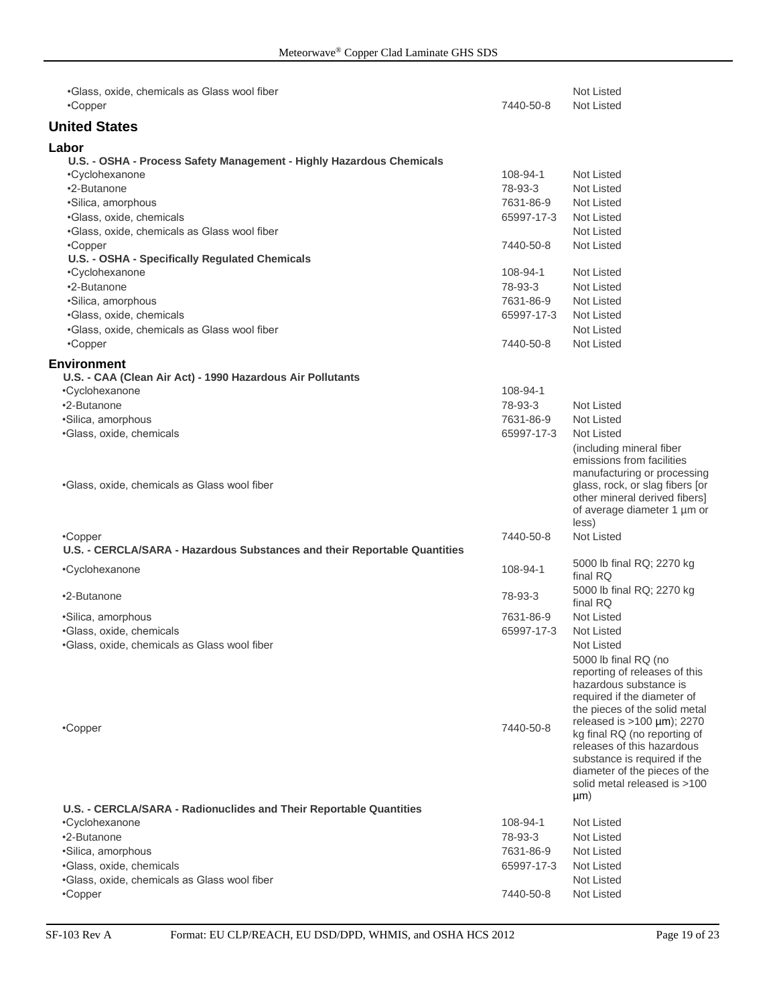| .Glass, oxide, chemicals as Glass wool fiber                                         |            | <b>Not Listed</b>                                                                                                                                                                                     |
|--------------------------------------------------------------------------------------|------------|-------------------------------------------------------------------------------------------------------------------------------------------------------------------------------------------------------|
| •Copper                                                                              | 7440-50-8  | <b>Not Listed</b>                                                                                                                                                                                     |
| <b>United States</b>                                                                 |            |                                                                                                                                                                                                       |
| Labor                                                                                |            |                                                                                                                                                                                                       |
| U.S. - OSHA - Process Safety Management - Highly Hazardous Chemicals                 |            |                                                                                                                                                                                                       |
| •Cyclohexanone                                                                       | 108-94-1   | Not Listed                                                                                                                                                                                            |
| •2-Butanone                                                                          | 78-93-3    | <b>Not Listed</b>                                                                                                                                                                                     |
| ·Silica, amorphous                                                                   | 7631-86-9  | Not Listed                                                                                                                                                                                            |
| •Glass, oxide, chemicals                                                             | 65997-17-3 | Not Listed                                                                                                                                                                                            |
| •Glass, oxide, chemicals as Glass wool fiber                                         |            | <b>Not Listed</b>                                                                                                                                                                                     |
| •Copper                                                                              | 7440-50-8  | <b>Not Listed</b>                                                                                                                                                                                     |
| U.S. - OSHA - Specifically Regulated Chemicals                                       |            |                                                                                                                                                                                                       |
| •Cyclohexanone                                                                       | 108-94-1   | Not Listed                                                                                                                                                                                            |
| •2-Butanone                                                                          | 78-93-3    | Not Listed                                                                                                                                                                                            |
| ·Silica, amorphous                                                                   | 7631-86-9  | Not Listed                                                                                                                                                                                            |
| ·Glass, oxide, chemicals                                                             | 65997-17-3 | Not Listed                                                                                                                                                                                            |
| .Glass, oxide, chemicals as Glass wool fiber                                         |            | <b>Not Listed</b>                                                                                                                                                                                     |
| •Copper                                                                              | 7440-50-8  | <b>Not Listed</b>                                                                                                                                                                                     |
| Environment                                                                          |            |                                                                                                                                                                                                       |
| U.S. - CAA (Clean Air Act) - 1990 Hazardous Air Pollutants                           |            |                                                                                                                                                                                                       |
| •Cyclohexanone                                                                       | 108-94-1   |                                                                                                                                                                                                       |
| •2-Butanone                                                                          | 78-93-3    | Not Listed                                                                                                                                                                                            |
| •Silica, amorphous                                                                   | 7631-86-9  | <b>Not Listed</b>                                                                                                                                                                                     |
| •Glass, oxide, chemicals                                                             | 65997-17-3 | Not Listed                                                                                                                                                                                            |
| •Glass, oxide, chemicals as Glass wool fiber                                         |            | (including mineral fiber<br>emissions from facilities<br>manufacturing or processing<br>glass, rock, or slag fibers [or<br>other mineral derived fibers]<br>of average diameter 1 µm or               |
|                                                                                      |            | less)                                                                                                                                                                                                 |
| •Copper                                                                              | 7440-50-8  | <b>Not Listed</b>                                                                                                                                                                                     |
| U.S. - CERCLA/SARA - Hazardous Substances and their Reportable Quantities            |            | 5000 lb final RQ; 2270 kg                                                                                                                                                                             |
| •Cyclohexanone                                                                       | 108-94-1   | final RQ<br>5000 lb final RQ; 2270 kg                                                                                                                                                                 |
| •2-Butanone                                                                          | 78-93-3    | final RQ                                                                                                                                                                                              |
| •Silica, amorphous                                                                   | 7631-86-9  | Not Listed                                                                                                                                                                                            |
| •Glass, oxide, chemicals                                                             | 65997-17-3 | Not Listed                                                                                                                                                                                            |
| •Glass, oxide, chemicals as Glass wool fiber                                         |            | Not Listed<br>5000 lb final RQ (no<br>reporting of releases of this<br>hazardous substance is<br>required if the diameter of<br>the pieces of the solid metal                                         |
| •Copper                                                                              | 7440-50-8  | released is $>100 \mu m$ ; 2270<br>kg final RQ (no reporting of<br>releases of this hazardous<br>substance is required if the<br>diameter of the pieces of the<br>solid metal released is >100<br>µm) |
| U.S. - CERCLA/SARA - Radionuclides and Their Reportable Quantities<br>•Cyclohexanone | 108-94-1   | Not Listed                                                                                                                                                                                            |
| •2-Butanone                                                                          | 78-93-3    | Not Listed                                                                                                                                                                                            |
| •Silica, amorphous                                                                   | 7631-86-9  | Not Listed                                                                                                                                                                                            |
| ·Glass, oxide, chemicals                                                             | 65997-17-3 | Not Listed                                                                                                                                                                                            |
| •Glass, oxide, chemicals as Glass wool fiber                                         |            | Not Listed                                                                                                                                                                                            |
| •Copper                                                                              | 7440-50-8  | Not Listed                                                                                                                                                                                            |
|                                                                                      |            |                                                                                                                                                                                                       |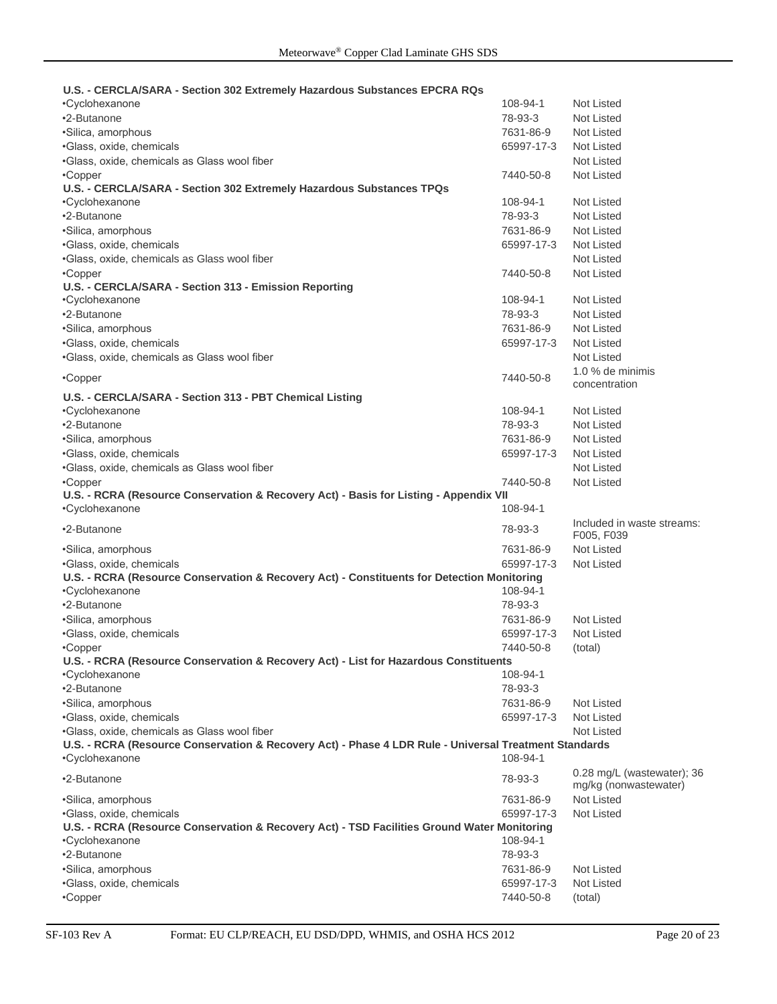#### **U.S. - CERCLA/SARA - Section 302 Extremely Hazardous Substances EPCRA RQs**

| <b>VERVENUMING - UCCHOIL OVE EXHIGHIGLY HOLGHOUG UGDORHOUG ET URN RAG</b>                             |            |                                                       |
|-------------------------------------------------------------------------------------------------------|------------|-------------------------------------------------------|
| •Cyclohexanone                                                                                        | 108-94-1   | Not Listed                                            |
| •2-Butanone                                                                                           | 78-93-3    | Not Listed                                            |
| ·Silica, amorphous                                                                                    | 7631-86-9  | Not Listed                                            |
| ·Glass, oxide, chemicals                                                                              | 65997-17-3 | Not Listed                                            |
| .Glass, oxide, chemicals as Glass wool fiber                                                          |            | Not Listed                                            |
| •Copper                                                                                               | 7440-50-8  | Not Listed                                            |
| U.S. - CERCLA/SARA - Section 302 Extremely Hazardous Substances TPQs                                  |            |                                                       |
| •Cyclohexanone                                                                                        | 108-94-1   | Not Listed                                            |
| •2-Butanone                                                                                           | 78-93-3    | Not Listed                                            |
| ·Silica, amorphous                                                                                    | 7631-86-9  | Not Listed                                            |
| ·Glass, oxide, chemicals                                                                              | 65997-17-3 | Not Listed                                            |
| •Glass, oxide, chemicals as Glass wool fiber                                                          |            | Not Listed                                            |
| •Copper                                                                                               | 7440-50-8  | Not Listed                                            |
| U.S. - CERCLA/SARA - Section 313 - Emission Reporting                                                 |            |                                                       |
| •Cyclohexanone                                                                                        | 108-94-1   | Not Listed                                            |
| •2-Butanone                                                                                           | 78-93-3    | Not Listed                                            |
| •Silica, amorphous                                                                                    | 7631-86-9  | Not Listed                                            |
| ·Glass, oxide, chemicals                                                                              | 65997-17-3 | Not Listed                                            |
| ·Glass, oxide, chemicals as Glass wool fiber                                                          |            | Not Listed                                            |
|                                                                                                       |            | 1.0 % de minimis                                      |
| •Copper                                                                                               | 7440-50-8  | concentration                                         |
| U.S. - CERCLA/SARA - Section 313 - PBT Chemical Listing                                               |            |                                                       |
| •Cyclohexanone                                                                                        | 108-94-1   | Not Listed                                            |
| •2-Butanone                                                                                           | 78-93-3    | Not Listed                                            |
| ·Silica, amorphous                                                                                    | 7631-86-9  | Not Listed                                            |
| •Glass, oxide, chemicals                                                                              | 65997-17-3 | Not Listed                                            |
| .Glass, oxide, chemicals as Glass wool fiber                                                          |            | Not Listed                                            |
| •Copper                                                                                               | 7440-50-8  | Not Listed                                            |
| U.S. - RCRA (Resource Conservation & Recovery Act) - Basis for Listing - Appendix VII                 |            |                                                       |
| •Cyclohexanone                                                                                        | 108-94-1   |                                                       |
| •2-Butanone                                                                                           | 78-93-3    | Included in waste streams:<br>F005, F039              |
| ·Silica, amorphous                                                                                    | 7631-86-9  | Not Listed                                            |
| •Glass, oxide, chemicals                                                                              | 65997-17-3 | Not Listed                                            |
| U.S. - RCRA (Resource Conservation & Recovery Act) - Constituents for Detection Monitoring            |            |                                                       |
| •Cyclohexanone                                                                                        | 108-94-1   |                                                       |
| •2-Butanone                                                                                           | 78-93-3    |                                                       |
| ·Silica, amorphous                                                                                    | 7631-86-9  | Not Listed                                            |
| •Glass, oxide, chemicals                                                                              | 65997-17-3 | Not Listed                                            |
| •Copper                                                                                               | 7440-50-8  | (total)                                               |
| U.S. - RCRA (Resource Conservation & Recovery Act) - List for Hazardous Constituents                  |            |                                                       |
| •Cyclohexanone                                                                                        | 108-94-1   |                                                       |
| •2-Butanone                                                                                           | 78-93-3    |                                                       |
| ·Silica, amorphous                                                                                    | 7631-86-9  | Not Listed                                            |
| ·Glass, oxide, chemicals                                                                              | 65997-17-3 | Not Listed                                            |
| .Glass, oxide, chemicals as Glass wool fiber                                                          |            | Not Listed                                            |
| U.S. - RCRA (Resource Conservation & Recovery Act) - Phase 4 LDR Rule - Universal Treatment Standards |            |                                                       |
| •Cyclohexanone                                                                                        | 108-94-1   |                                                       |
| •2-Butanone                                                                                           | 78-93-3    | $0.28$ mg/L (wastewater); 36<br>mg/kg (nonwastewater) |
| ·Silica, amorphous                                                                                    | 7631-86-9  | Not Listed                                            |
| •Glass, oxide, chemicals                                                                              | 65997-17-3 | <b>Not Listed</b>                                     |
| U.S. - RCRA (Resource Conservation & Recovery Act) - TSD Facilities Ground Water Monitoring           |            |                                                       |
| •Cyclohexanone                                                                                        | 108-94-1   |                                                       |
| •2-Butanone                                                                                           | 78-93-3    |                                                       |
| •Silica, amorphous                                                                                    | 7631-86-9  | Not Listed                                            |
| •Glass, oxide, chemicals                                                                              | 65997-17-3 | Not Listed                                            |
| •Copper                                                                                               | 7440-50-8  | (total)                                               |
|                                                                                                       |            |                                                       |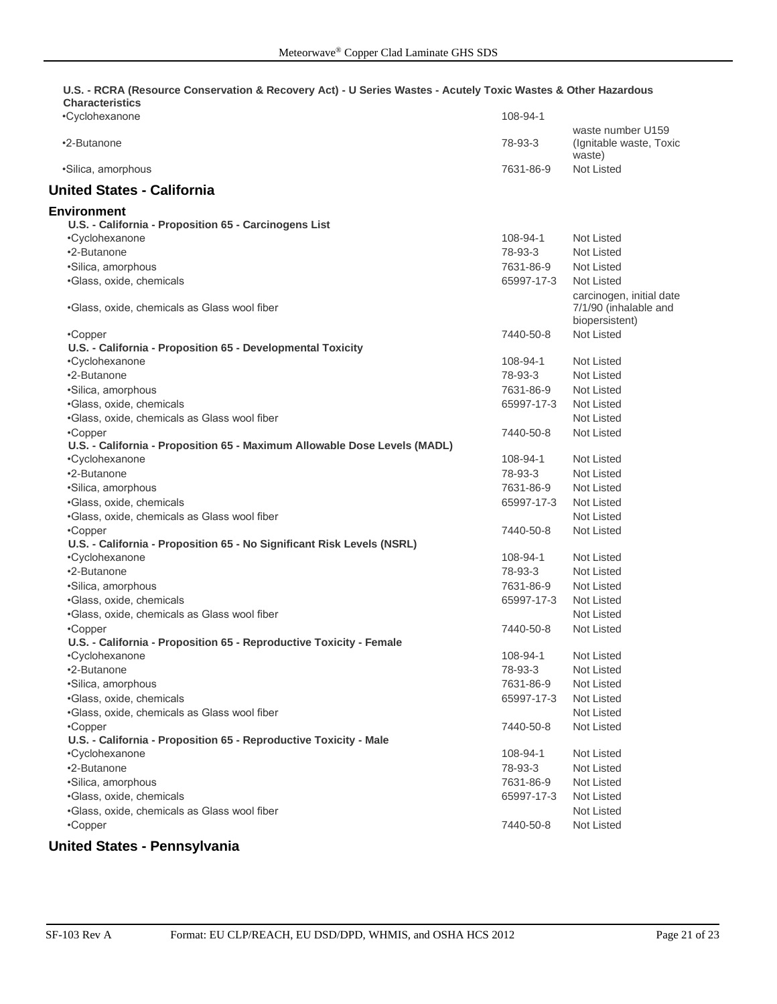#### **U.S. - RCRA (Resource Conservation & Recovery Act) - U Series Wastes - Acutely Toxic Wastes & Other Hazardous Characteristics**

| •Cyclohexanone                                                                              | 108-94-1   |                                                                     |
|---------------------------------------------------------------------------------------------|------------|---------------------------------------------------------------------|
| •2-Butanone                                                                                 | 78-93-3    | waste number U159<br>(Ignitable waste, Toxic<br>waste)              |
| •Silica, amorphous                                                                          | 7631-86-9  | Not Listed                                                          |
| <b>United States - California</b>                                                           |            |                                                                     |
| Environment                                                                                 |            |                                                                     |
| U.S. - California - Proposition 65 - Carcinogens List                                       |            |                                                                     |
| •Cyclohexanone                                                                              | 108-94-1   | Not Listed                                                          |
| •2-Butanone                                                                                 | 78-93-3    | Not Listed                                                          |
| ·Silica, amorphous                                                                          | 7631-86-9  | Not Listed                                                          |
| ·Glass, oxide, chemicals                                                                    | 65997-17-3 | Not Listed                                                          |
| .Glass, oxide, chemicals as Glass wool fiber                                                |            | carcinogen, initial date<br>7/1/90 (inhalable and<br>biopersistent) |
| •Copper                                                                                     | 7440-50-8  | <b>Not Listed</b>                                                   |
| U.S. - California - Proposition 65 - Developmental Toxicity                                 |            |                                                                     |
| •Cyclohexanone                                                                              | 108-94-1   | Not Listed                                                          |
| •2-Butanone                                                                                 | 78-93-3    | Not Listed                                                          |
| ·Silica, amorphous                                                                          | 7631-86-9  | Not Listed                                                          |
| ·Glass, oxide, chemicals                                                                    | 65997-17-3 | Not Listed                                                          |
|                                                                                             |            | Not Listed                                                          |
| .Glass, oxide, chemicals as Glass wool fiber                                                |            |                                                                     |
| •Copper                                                                                     | 7440-50-8  | Not Listed                                                          |
| U.S. - California - Proposition 65 - Maximum Allowable Dose Levels (MADL)<br>•Cyclohexanone | 108-94-1   | Not Listed                                                          |
| •2-Butanone                                                                                 | 78-93-3    | Not Listed                                                          |
|                                                                                             | 7631-86-9  | Not Listed                                                          |
| ·Silica, amorphous                                                                          |            |                                                                     |
| ·Glass, oxide, chemicals                                                                    | 65997-17-3 | Not Listed                                                          |
| .Glass, oxide, chemicals as Glass wool fiber                                                |            | Not Listed                                                          |
| •Copper                                                                                     | 7440-50-8  | Not Listed                                                          |
| U.S. - California - Proposition 65 - No Significant Risk Levels (NSRL)                      |            |                                                                     |
| •Cyclohexanone                                                                              | 108-94-1   | Not Listed                                                          |
| •2-Butanone                                                                                 | 78-93-3    | Not Listed                                                          |
| ·Silica, amorphous                                                                          | 7631-86-9  | Not Listed                                                          |
| ·Glass, oxide, chemicals                                                                    | 65997-17-3 | Not Listed                                                          |
| .Glass, oxide, chemicals as Glass wool fiber                                                |            | Not Listed                                                          |
| •Copper                                                                                     | 7440-50-8  | Not Listed                                                          |
| U.S. - California - Proposition 65 - Reproductive Toxicity - Female                         |            |                                                                     |
| •Cyclohexanone                                                                              | 108-94-1   | <b>Not Listed</b>                                                   |
| •2-Butanone                                                                                 | 78-93-3    | Not Listed                                                          |
| ·Silica, amorphous                                                                          | 7631-86-9  | Not Listed                                                          |
| ·Glass, oxide, chemicals                                                                    | 65997-17-3 | Not Listed                                                          |
| .Glass, oxide, chemicals as Glass wool fiber                                                |            | Not Listed                                                          |
| •Copper                                                                                     | 7440-50-8  | Not Listed                                                          |
| U.S. - California - Proposition 65 - Reproductive Toxicity - Male                           |            |                                                                     |
| •Cyclohexanone                                                                              | 108-94-1   | Not Listed                                                          |
| •2-Butanone                                                                                 | 78-93-3    | Not Listed                                                          |
| ·Silica, amorphous                                                                          | 7631-86-9  | Not Listed                                                          |
| ·Glass, oxide, chemicals                                                                    | 65997-17-3 | Not Listed                                                          |
| ·Glass, oxide, chemicals as Glass wool fiber                                                |            | Not Listed                                                          |
| •Copper                                                                                     | 7440-50-8  | Not Listed                                                          |
|                                                                                             |            |                                                                     |

## **United States - Pennsylvania**